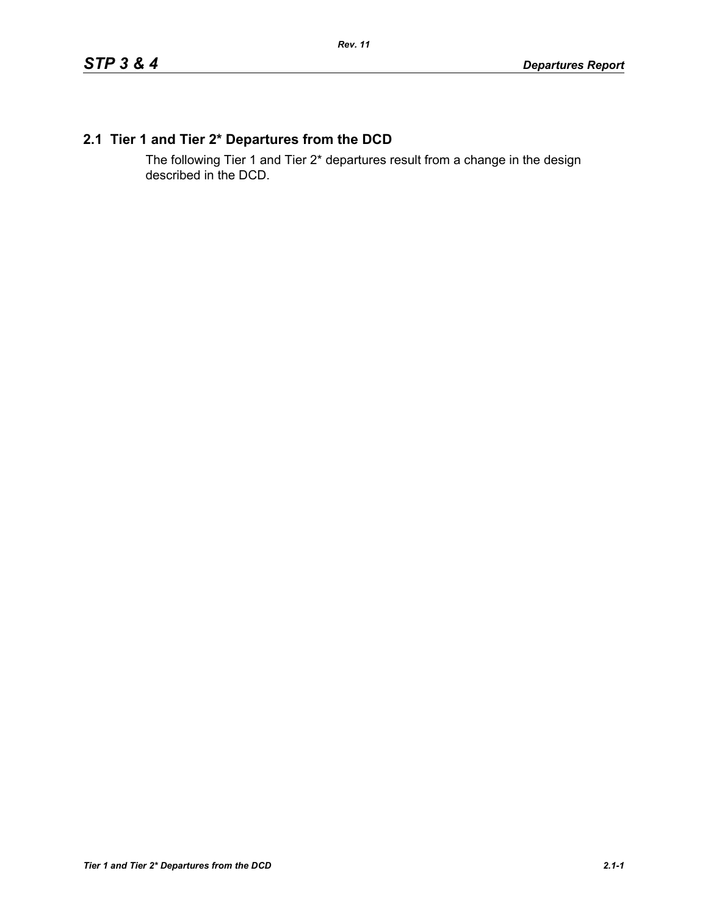# **2.1 Tier 1 and Tier 2\* Departures from the DCD**

The following Tier 1 and Tier 2\* departures result from a change in the design described in the DCD.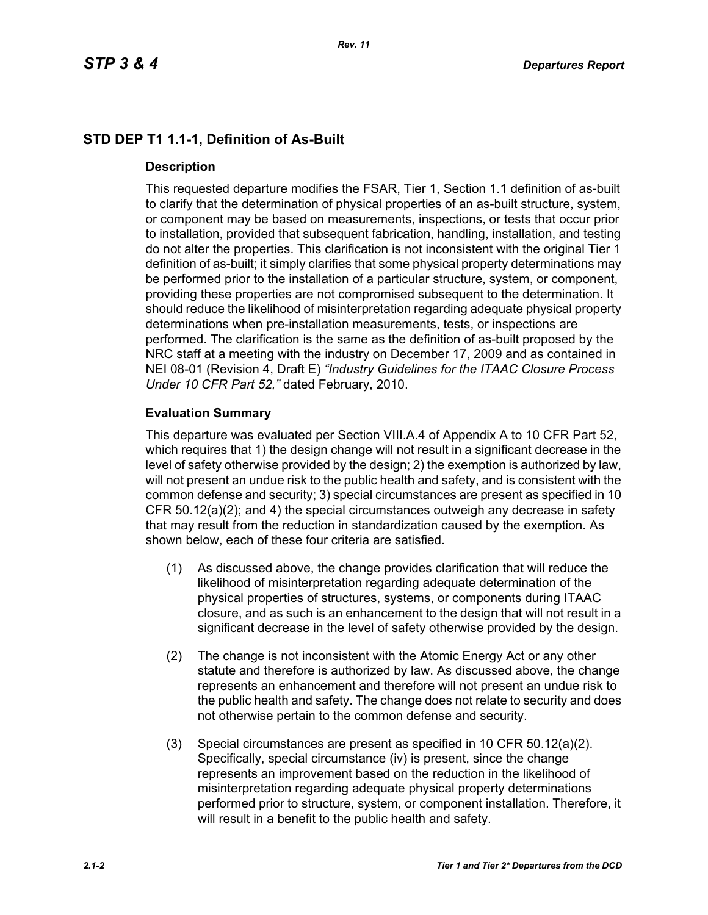# **STD DEP T1 1.1-1, Definition of As-Built**

## **Description**

This requested departure modifies the FSAR, Tier 1, Section 1.1 definition of as-built to clarify that the determination of physical properties of an as-built structure, system, or component may be based on measurements, inspections, or tests that occur prior to installation, provided that subsequent fabrication, handling, installation, and testing do not alter the properties. This clarification is not inconsistent with the original Tier 1 definition of as-built; it simply clarifies that some physical property determinations may be performed prior to the installation of a particular structure, system, or component, providing these properties are not compromised subsequent to the determination. It should reduce the likelihood of misinterpretation regarding adequate physical property determinations when pre-installation measurements, tests, or inspections are performed. The clarification is the same as the definition of as-built proposed by the NRC staff at a meeting with the industry on December 17, 2009 and as contained in NEI 08-01 (Revision 4, Draft E) *"Industry Guidelines for the ITAAC Closure Process Under 10 CFR Part 52,"* dated February, 2010.

## **Evaluation Summary**

This departure was evaluated per Section VIII.A.4 of Appendix A to 10 CFR Part 52, which requires that 1) the design change will not result in a significant decrease in the level of safety otherwise provided by the design; 2) the exemption is authorized by law, will not present an undue risk to the public health and safety, and is consistent with the common defense and security; 3) special circumstances are present as specified in 10 CFR 50.12(a)(2); and 4) the special circumstances outweigh any decrease in safety that may result from the reduction in standardization caused by the exemption. As shown below, each of these four criteria are satisfied.

- (1) As discussed above, the change provides clarification that will reduce the likelihood of misinterpretation regarding adequate determination of the physical properties of structures, systems, or components during ITAAC closure, and as such is an enhancement to the design that will not result in a significant decrease in the level of safety otherwise provided by the design.
- (2) The change is not inconsistent with the Atomic Energy Act or any other statute and therefore is authorized by law. As discussed above, the change represents an enhancement and therefore will not present an undue risk to the public health and safety. The change does not relate to security and does not otherwise pertain to the common defense and security.
- (3) Special circumstances are present as specified in 10 CFR 50.12(a)(2). Specifically, special circumstance (iv) is present, since the change represents an improvement based on the reduction in the likelihood of misinterpretation regarding adequate physical property determinations performed prior to structure, system, or component installation. Therefore, it will result in a benefit to the public health and safety.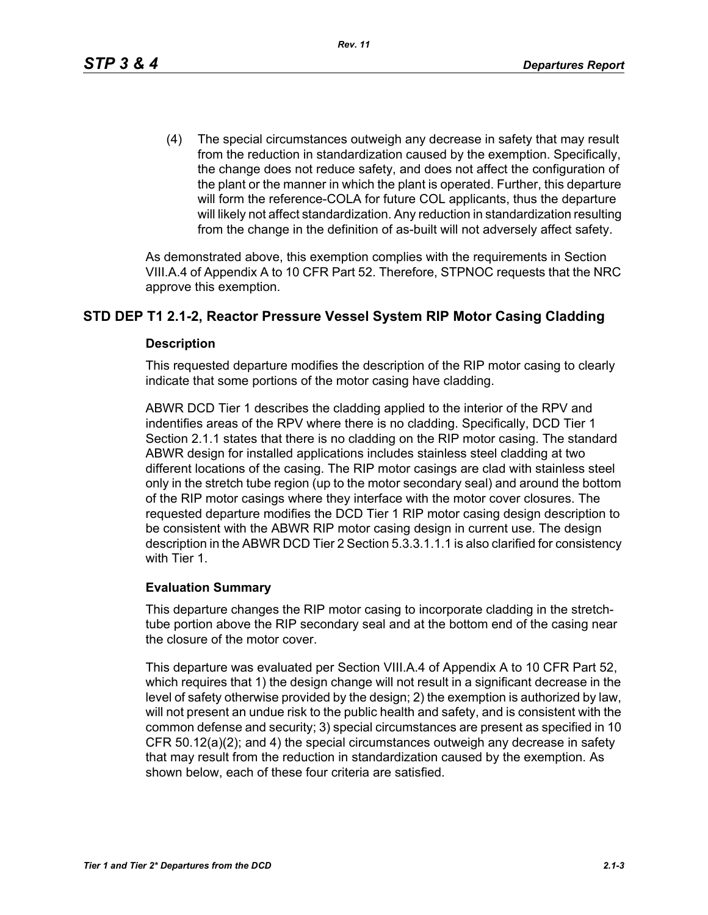(4) The special circumstances outweigh any decrease in safety that may result from the reduction in standardization caused by the exemption. Specifically, the change does not reduce safety, and does not affect the configuration of the plant or the manner in which the plant is operated. Further, this departure will form the reference-COLA for future COL applicants, thus the departure will likely not affect standardization. Any reduction in standardization resulting from the change in the definition of as-built will not adversely affect safety.

As demonstrated above, this exemption complies with the requirements in Section VIII.A.4 of Appendix A to 10 CFR Part 52. Therefore, STPNOC requests that the NRC approve this exemption.

#### **STD DEP T1 2.1-2, Reactor Pressure Vessel System RIP Motor Casing Cladding**

#### **Description**

This requested departure modifies the description of the RIP motor casing to clearly indicate that some portions of the motor casing have cladding.

ABWR DCD Tier 1 describes the cladding applied to the interior of the RPV and indentifies areas of the RPV where there is no cladding. Specifically, DCD Tier 1 Section 2.1.1 states that there is no cladding on the RIP motor casing. The standard ABWR design for installed applications includes stainless steel cladding at two different locations of the casing. The RIP motor casings are clad with stainless steel only in the stretch tube region (up to the motor secondary seal) and around the bottom of the RIP motor casings where they interface with the motor cover closures. The requested departure modifies the DCD Tier 1 RIP motor casing design description to be consistent with the ABWR RIP motor casing design in current use. The design description in the ABWR DCD Tier 2 Section 5.3.3.1.1.1 is also clarified for consistency with Tier 1.

#### **Evaluation Summary**

This departure changes the RIP motor casing to incorporate cladding in the stretchtube portion above the RIP secondary seal and at the bottom end of the casing near the closure of the motor cover.

This departure was evaluated per Section VIII.A.4 of Appendix A to 10 CFR Part 52, which requires that 1) the design change will not result in a significant decrease in the level of safety otherwise provided by the design; 2) the exemption is authorized by law, will not present an undue risk to the public health and safety, and is consistent with the common defense and security; 3) special circumstances are present as specified in 10 CFR 50.12(a)(2); and 4) the special circumstances outweigh any decrease in safety that may result from the reduction in standardization caused by the exemption. As shown below, each of these four criteria are satisfied.

*Rev. 11*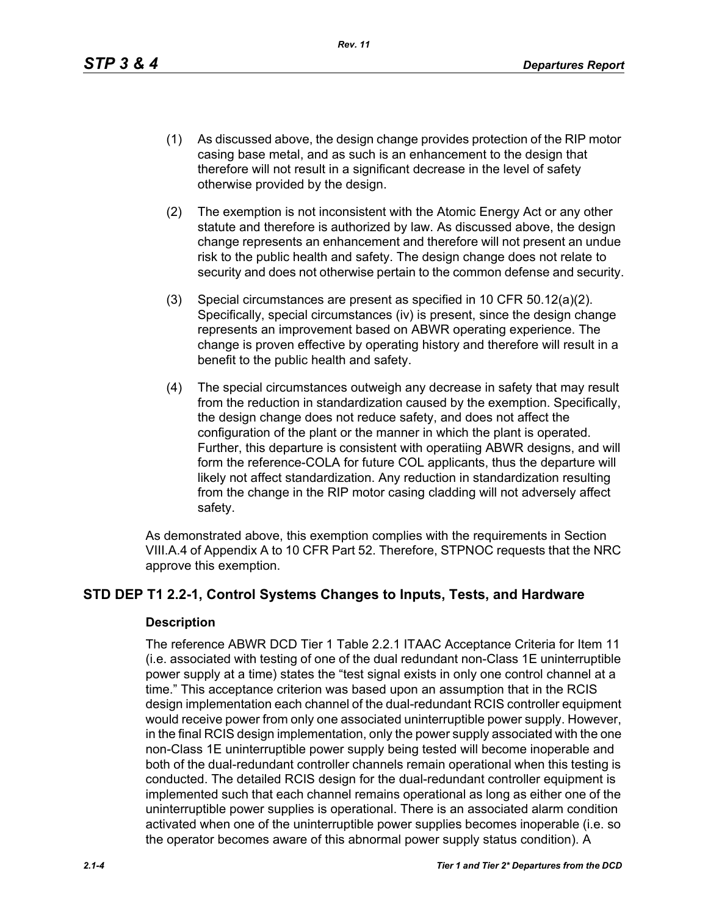*Rev. 11*

- (1) As discussed above, the design change provides protection of the RIP motor casing base metal, and as such is an enhancement to the design that therefore will not result in a significant decrease in the level of safety otherwise provided by the design.
- (2) The exemption is not inconsistent with the Atomic Energy Act or any other statute and therefore is authorized by law. As discussed above, the design change represents an enhancement and therefore will not present an undue risk to the public health and safety. The design change does not relate to security and does not otherwise pertain to the common defense and security.
- (3) Special circumstances are present as specified in 10 CFR 50.12(a)(2). Specifically, special circumstances (iv) is present, since the design change represents an improvement based on ABWR operating experience. The change is proven effective by operating history and therefore will result in a benefit to the public health and safety.
- (4) The special circumstances outweigh any decrease in safety that may result from the reduction in standardization caused by the exemption. Specifically, the design change does not reduce safety, and does not affect the configuration of the plant or the manner in which the plant is operated. Further, this departure is consistent with operatiing ABWR designs, and will form the reference-COLA for future COL applicants, thus the departure will likely not affect standardization. Any reduction in standardization resulting from the change in the RIP motor casing cladding will not adversely affect safety.

As demonstrated above, this exemption complies with the requirements in Section VIII.A.4 of Appendix A to 10 CFR Part 52. Therefore, STPNOC requests that the NRC approve this exemption.

# **STD DEP T1 2.2-1, Control Systems Changes to Inputs, Tests, and Hardware**

## **Description**

The reference ABWR DCD Tier 1 Table 2.2.1 ITAAC Acceptance Criteria for Item 11 (i.e. associated with testing of one of the dual redundant non-Class 1E uninterruptible power supply at a time) states the "test signal exists in only one control channel at a time." This acceptance criterion was based upon an assumption that in the RCIS design implementation each channel of the dual-redundant RCIS controller equipment would receive power from only one associated uninterruptible power supply. However, in the final RCIS design implementation, only the power supply associated with the one non-Class 1E uninterruptible power supply being tested will become inoperable and both of the dual-redundant controller channels remain operational when this testing is conducted. The detailed RCIS design for the dual-redundant controller equipment is implemented such that each channel remains operational as long as either one of the uninterruptible power supplies is operational. There is an associated alarm condition activated when one of the uninterruptible power supplies becomes inoperable (i.e. so the operator becomes aware of this abnormal power supply status condition). A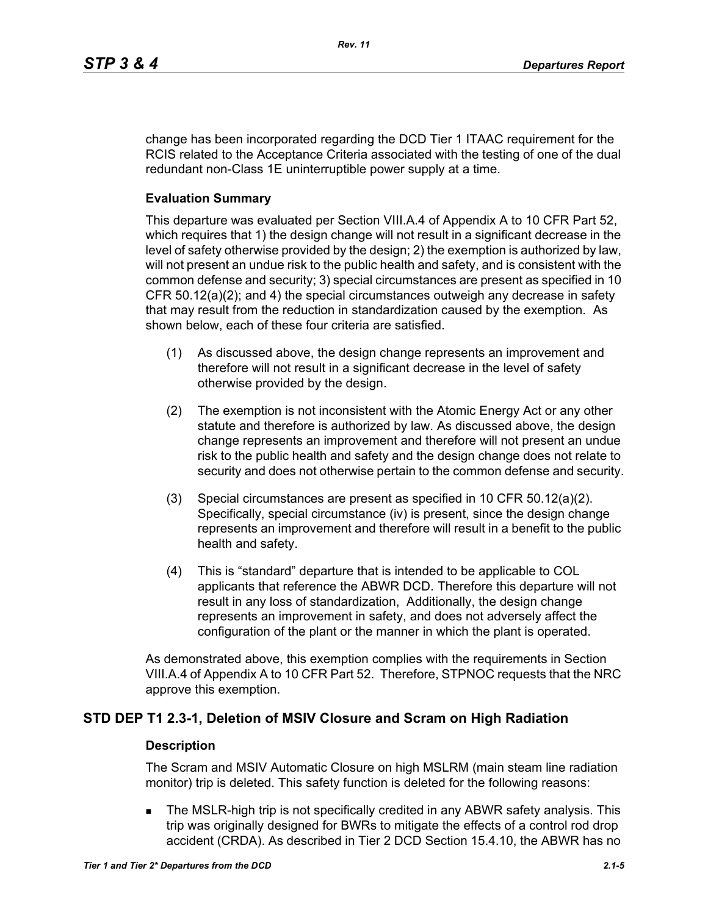change has been incorporated regarding the DCD Tier 1 ITAAC requirement for the RCIS related to the Acceptance Criteria associated with the testing of one of the dual redundant non-Class 1E uninterruptible power supply at a time.

#### **Evaluation Summary**

This departure was evaluated per Section VIII.A.4 of Appendix A to 10 CFR Part 52, which requires that 1) the design change will not result in a significant decrease in the level of safety otherwise provided by the design; 2) the exemption is authorized by law, will not present an undue risk to the public health and safety, and is consistent with the common defense and security; 3) special circumstances are present as specified in 10 CFR 50.12(a)(2); and 4) the special circumstances outweigh any decrease in safety that may result from the reduction in standardization caused by the exemption. As shown below, each of these four criteria are satisfied.

- (1) As discussed above, the design change represents an improvement and therefore will not result in a significant decrease in the level of safety otherwise provided by the design.
- (2) The exemption is not inconsistent with the Atomic Energy Act or any other statute and therefore is authorized by law. As discussed above, the design change represents an improvement and therefore will not present an undue risk to the public health and safety and the design change does not relate to security and does not otherwise pertain to the common defense and security.
- (3) Special circumstances are present as specified in 10 CFR 50.12(a)(2). Specifically, special circumstance (iv) is present, since the design change represents an improvement and therefore will result in a benefit to the public health and safety.
- (4) This is "standard" departure that is intended to be applicable to COL applicants that reference the ABWR DCD. Therefore this departure will not result in any loss of standardization, Additionally, the design change represents an improvement in safety, and does not adversely affect the configuration of the plant or the manner in which the plant is operated.

As demonstrated above, this exemption complies with the requirements in Section VIII.A.4 of Appendix A to 10 CFR Part 52. Therefore, STPNOC requests that the NRC approve this exemption.

## **STD DEP T1 2.3-1, Deletion of MSIV Closure and Scram on High Radiation**

#### **Description**

The Scram and MSIV Automatic Closure on high MSLRM (main steam line radiation monitor) trip is deleted. This safety function is deleted for the following reasons:

 The MSLR-high trip is not specifically credited in any ABWR safety analysis. This trip was originally designed for BWRs to mitigate the effects of a control rod drop accident (CRDA). As described in Tier 2 DCD Section 15.4.10, the ABWR has no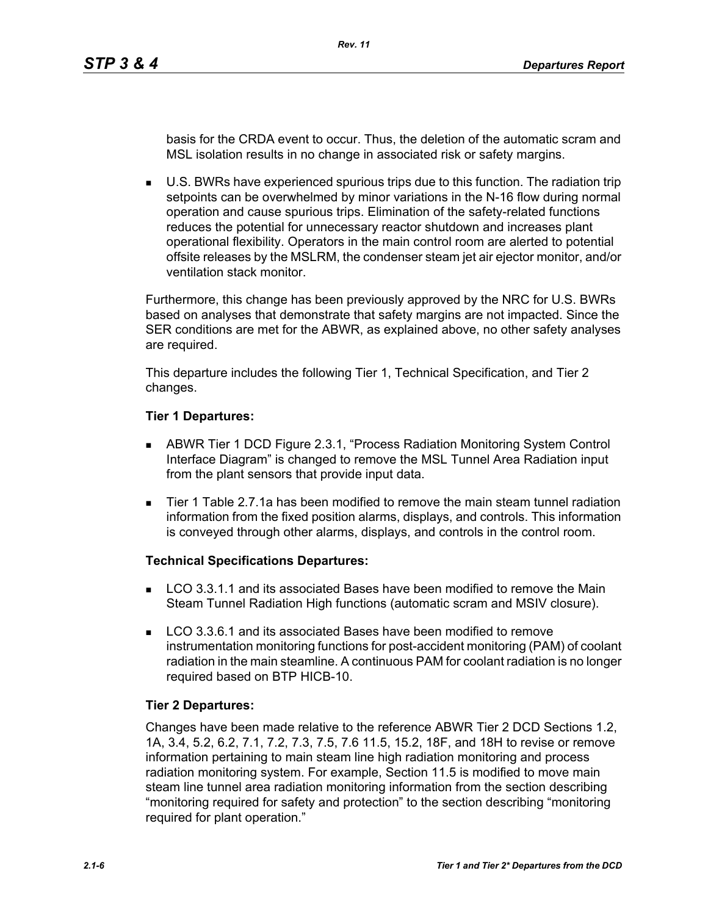basis for the CRDA event to occur. Thus, the deletion of the automatic scram and MSL isolation results in no change in associated risk or safety margins.

 U.S. BWRs have experienced spurious trips due to this function. The radiation trip setpoints can be overwhelmed by minor variations in the N-16 flow during normal operation and cause spurious trips. Elimination of the safety-related functions reduces the potential for unnecessary reactor shutdown and increases plant operational flexibility. Operators in the main control room are alerted to potential offsite releases by the MSLRM, the condenser steam jet air ejector monitor, and/or ventilation stack monitor.

Furthermore, this change has been previously approved by the NRC for U.S. BWRs based on analyses that demonstrate that safety margins are not impacted. Since the SER conditions are met for the ABWR, as explained above, no other safety analyses are required.

This departure includes the following Tier 1, Technical Specification, and Tier 2 changes.

#### **Tier 1 Departures:**

- ABWR Tier 1 DCD Figure 2.3.1, "Process Radiation Monitoring System Control Interface Diagram" is changed to remove the MSL Tunnel Area Radiation input from the plant sensors that provide input data.
- Tier 1 Table 2.7.1a has been modified to remove the main steam tunnel radiation information from the fixed position alarms, displays, and controls. This information is conveyed through other alarms, displays, and controls in the control room.

## **Technical Specifications Departures:**

- LCO 3.3.1.1 and its associated Bases have been modified to remove the Main Steam Tunnel Radiation High functions (automatic scram and MSIV closure).
- **LCO 3.3.6.1 and its associated Bases have been modified to remove** instrumentation monitoring functions for post-accident monitoring (PAM) of coolant radiation in the main steamline. A continuous PAM for coolant radiation is no longer required based on BTP HICB-10.

## **Tier 2 Departures:**

Changes have been made relative to the reference ABWR Tier 2 DCD Sections 1.2, 1A, 3.4, 5.2, 6.2, 7.1, 7.2, 7.3, 7.5, 7.6 11.5, 15.2, 18F, and 18H to revise or remove information pertaining to main steam line high radiation monitoring and process radiation monitoring system. For example, Section 11.5 is modified to move main steam line tunnel area radiation monitoring information from the section describing "monitoring required for safety and protection" to the section describing "monitoring required for plant operation."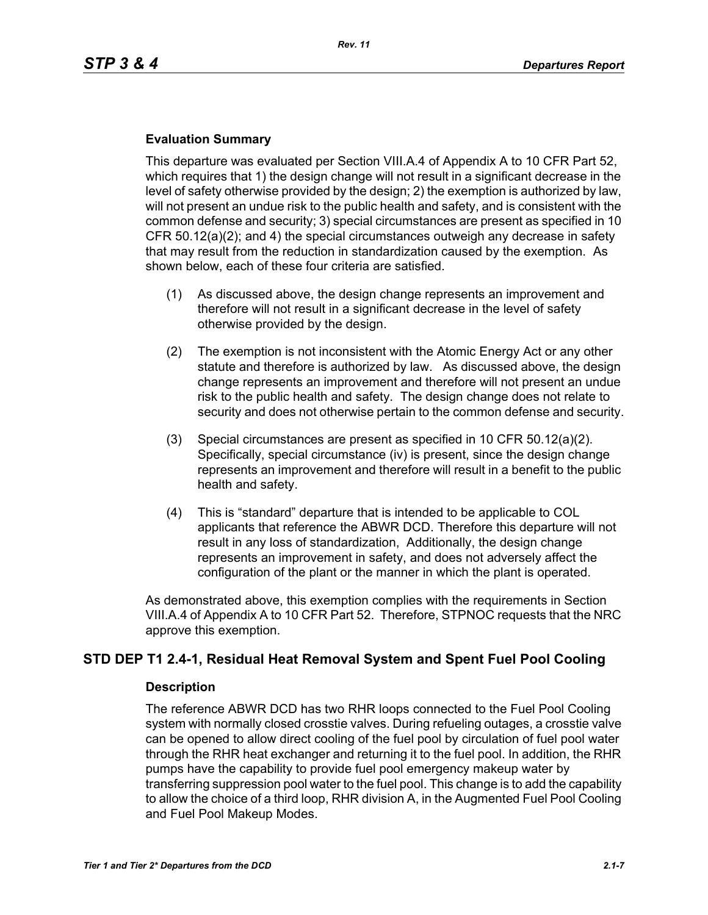#### **Evaluation Summary**

This departure was evaluated per Section VIII.A.4 of Appendix A to 10 CFR Part 52, which requires that 1) the design change will not result in a significant decrease in the level of safety otherwise provided by the design; 2) the exemption is authorized by law, will not present an undue risk to the public health and safety, and is consistent with the common defense and security; 3) special circumstances are present as specified in 10 CFR 50.12(a)(2); and 4) the special circumstances outweigh any decrease in safety that may result from the reduction in standardization caused by the exemption. As shown below, each of these four criteria are satisfied.

- (1) As discussed above, the design change represents an improvement and therefore will not result in a significant decrease in the level of safety otherwise provided by the design.
- (2) The exemption is not inconsistent with the Atomic Energy Act or any other statute and therefore is authorized by law. As discussed above, the design change represents an improvement and therefore will not present an undue risk to the public health and safety. The design change does not relate to security and does not otherwise pertain to the common defense and security.
- (3) Special circumstances are present as specified in 10 CFR 50.12(a)(2). Specifically, special circumstance (iv) is present, since the design change represents an improvement and therefore will result in a benefit to the public health and safety.
- (4) This is "standard" departure that is intended to be applicable to COL applicants that reference the ABWR DCD. Therefore this departure will not result in any loss of standardization, Additionally, the design change represents an improvement in safety, and does not adversely affect the configuration of the plant or the manner in which the plant is operated.

As demonstrated above, this exemption complies with the requirements in Section VIII.A.4 of Appendix A to 10 CFR Part 52. Therefore, STPNOC requests that the NRC approve this exemption.

# **STD DEP T1 2.4-1, Residual Heat Removal System and Spent Fuel Pool Cooling**

#### **Description**

The reference ABWR DCD has two RHR loops connected to the Fuel Pool Cooling system with normally closed crosstie valves. During refueling outages, a crosstie valve can be opened to allow direct cooling of the fuel pool by circulation of fuel pool water through the RHR heat exchanger and returning it to the fuel pool. In addition, the RHR pumps have the capability to provide fuel pool emergency makeup water by transferring suppression pool water to the fuel pool. This change is to add the capability to allow the choice of a third loop, RHR division A, in the Augmented Fuel Pool Cooling and Fuel Pool Makeup Modes.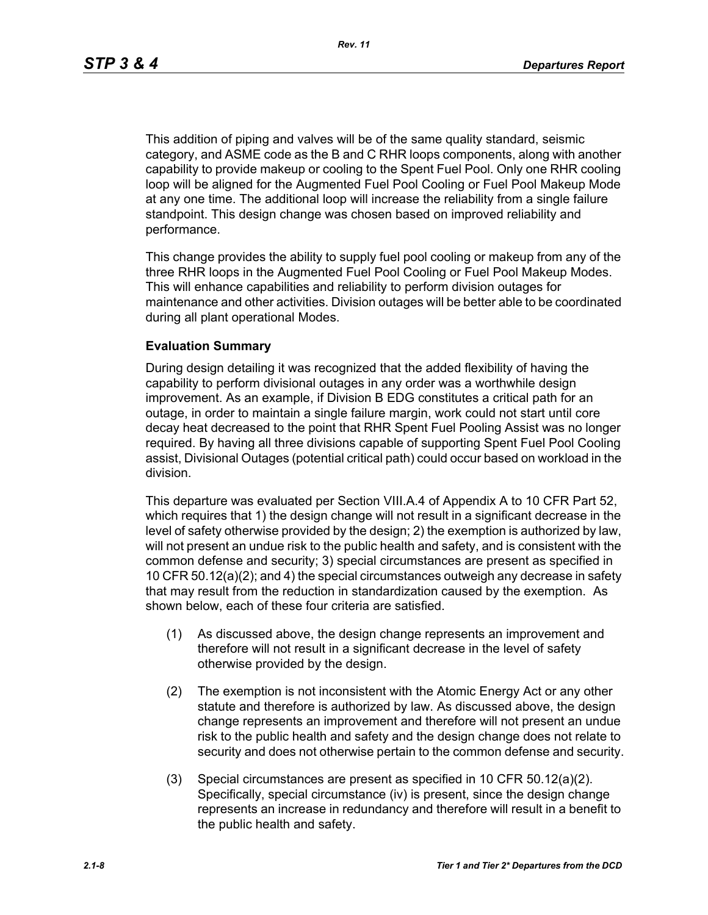This addition of piping and valves will be of the same quality standard, seismic category, and ASME code as the B and C RHR loops components, along with another capability to provide makeup or cooling to the Spent Fuel Pool. Only one RHR cooling loop will be aligned for the Augmented Fuel Pool Cooling or Fuel Pool Makeup Mode at any one time. The additional loop will increase the reliability from a single failure standpoint. This design change was chosen based on improved reliability and performance.

This change provides the ability to supply fuel pool cooling or makeup from any of the three RHR loops in the Augmented Fuel Pool Cooling or Fuel Pool Makeup Modes. This will enhance capabilities and reliability to perform division outages for maintenance and other activities. Division outages will be better able to be coordinated during all plant operational Modes.

#### **Evaluation Summary**

During design detailing it was recognized that the added flexibility of having the capability to perform divisional outages in any order was a worthwhile design improvement. As an example, if Division B EDG constitutes a critical path for an outage, in order to maintain a single failure margin, work could not start until core decay heat decreased to the point that RHR Spent Fuel Pooling Assist was no longer required. By having all three divisions capable of supporting Spent Fuel Pool Cooling assist, Divisional Outages (potential critical path) could occur based on workload in the division.

This departure was evaluated per Section VIII.A.4 of Appendix A to 10 CFR Part 52, which requires that 1) the design change will not result in a significant decrease in the level of safety otherwise provided by the design; 2) the exemption is authorized by law, will not present an undue risk to the public health and safety, and is consistent with the common defense and security; 3) special circumstances are present as specified in 10 CFR 50.12(a)(2); and 4) the special circumstances outweigh any decrease in safety that may result from the reduction in standardization caused by the exemption. As shown below, each of these four criteria are satisfied.

- (1) As discussed above, the design change represents an improvement and therefore will not result in a significant decrease in the level of safety otherwise provided by the design.
- (2) The exemption is not inconsistent with the Atomic Energy Act or any other statute and therefore is authorized by law. As discussed above, the design change represents an improvement and therefore will not present an undue risk to the public health and safety and the design change does not relate to security and does not otherwise pertain to the common defense and security.
- (3) Special circumstances are present as specified in 10 CFR 50.12(a)(2). Specifically, special circumstance (iv) is present, since the design change represents an increase in redundancy and therefore will result in a benefit to the public health and safety.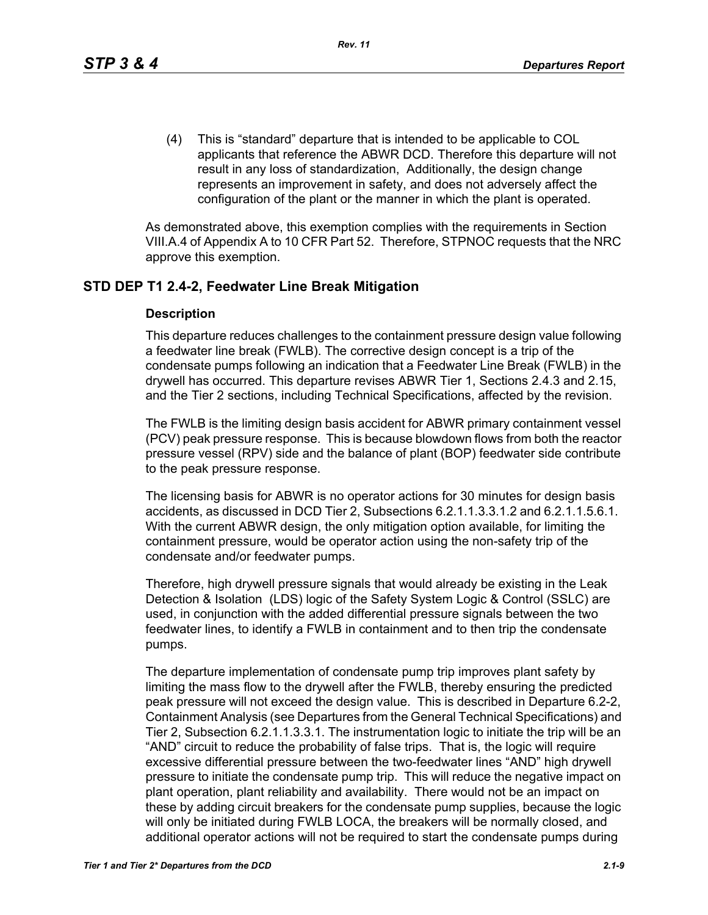(4) This is "standard" departure that is intended to be applicable to COL applicants that reference the ABWR DCD. Therefore this departure will not result in any loss of standardization, Additionally, the design change represents an improvement in safety, and does not adversely affect the configuration of the plant or the manner in which the plant is operated.

As demonstrated above, this exemption complies with the requirements in Section VIII.A.4 of Appendix A to 10 CFR Part 52. Therefore, STPNOC requests that the NRC approve this exemption.

# **STD DEP T1 2.4-2, Feedwater Line Break Mitigation**

#### **Description**

This departure reduces challenges to the containment pressure design value following a feedwater line break (FWLB). The corrective design concept is a trip of the condensate pumps following an indication that a Feedwater Line Break (FWLB) in the drywell has occurred. This departure revises ABWR Tier 1, Sections 2.4.3 and 2.15, and the Tier 2 sections, including Technical Specifications, affected by the revision.

The FWLB is the limiting design basis accident for ABWR primary containment vessel (PCV) peak pressure response. This is because blowdown flows from both the reactor pressure vessel (RPV) side and the balance of plant (BOP) feedwater side contribute to the peak pressure response.

The licensing basis for ABWR is no operator actions for 30 minutes for design basis accidents, as discussed in DCD Tier 2, Subsections 6.2.1.1.3.3.1.2 and 6.2.1.1.5.6.1. With the current ABWR design, the only mitigation option available, for limiting the containment pressure, would be operator action using the non-safety trip of the condensate and/or feedwater pumps.

Therefore, high drywell pressure signals that would already be existing in the Leak Detection & Isolation (LDS) logic of the Safety System Logic & Control (SSLC) are used, in conjunction with the added differential pressure signals between the two feedwater lines, to identify a FWLB in containment and to then trip the condensate pumps.

The departure implementation of condensate pump trip improves plant safety by limiting the mass flow to the drywell after the FWLB, thereby ensuring the predicted peak pressure will not exceed the design value. This is described in Departure 6.2-2, Containment Analysis (see Departures from the General Technical Specifications) and Tier 2, Subsection 6.2.1.1.3.3.1. The instrumentation logic to initiate the trip will be an "AND" circuit to reduce the probability of false trips. That is, the logic will require excessive differential pressure between the two-feedwater lines "AND" high drywell pressure to initiate the condensate pump trip. This will reduce the negative impact on plant operation, plant reliability and availability. There would not be an impact on these by adding circuit breakers for the condensate pump supplies, because the logic will only be initiated during FWLB LOCA, the breakers will be normally closed, and additional operator actions will not be required to start the condensate pumps during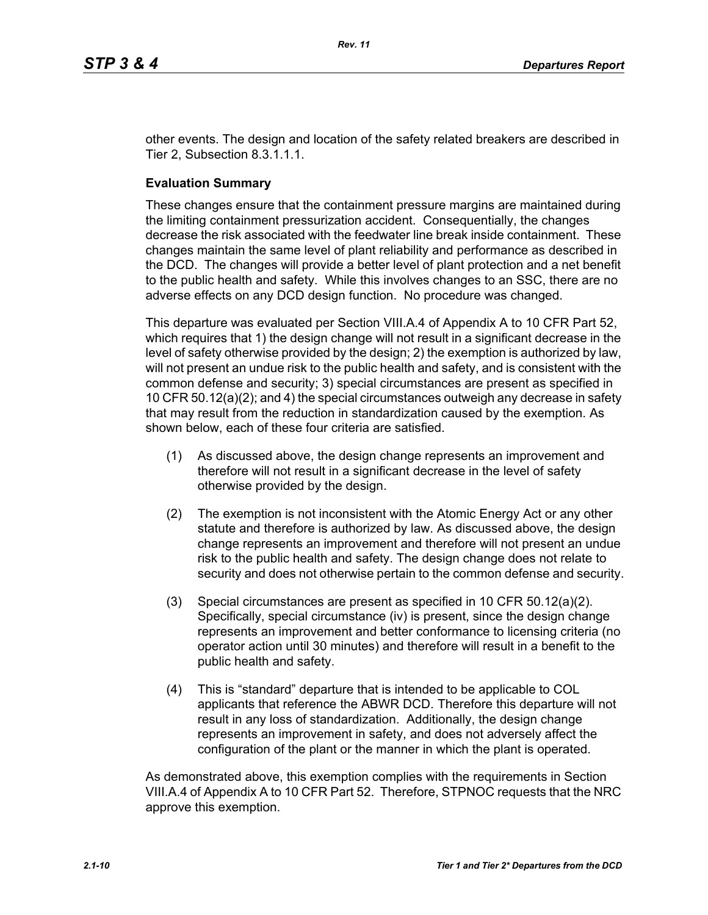*Rev. 11*

other events. The design and location of the safety related breakers are described in Tier 2, Subsection 8.3.1.1.1.

#### **Evaluation Summary**

These changes ensure that the containment pressure margins are maintained during the limiting containment pressurization accident. Consequentially, the changes decrease the risk associated with the feedwater line break inside containment. These changes maintain the same level of plant reliability and performance as described in the DCD. The changes will provide a better level of plant protection and a net benefit to the public health and safety. While this involves changes to an SSC, there are no adverse effects on any DCD design function. No procedure was changed.

This departure was evaluated per Section VIII.A.4 of Appendix A to 10 CFR Part 52, which requires that 1) the design change will not result in a significant decrease in the level of safety otherwise provided by the design; 2) the exemption is authorized by law, will not present an undue risk to the public health and safety, and is consistent with the common defense and security; 3) special circumstances are present as specified in 10 CFR 50.12(a)(2); and 4) the special circumstances outweigh any decrease in safety that may result from the reduction in standardization caused by the exemption. As shown below, each of these four criteria are satisfied.

- (1) As discussed above, the design change represents an improvement and therefore will not result in a significant decrease in the level of safety otherwise provided by the design.
- (2) The exemption is not inconsistent with the Atomic Energy Act or any other statute and therefore is authorized by law. As discussed above, the design change represents an improvement and therefore will not present an undue risk to the public health and safety. The design change does not relate to security and does not otherwise pertain to the common defense and security.
- (3) Special circumstances are present as specified in 10 CFR 50.12(a)(2). Specifically, special circumstance (iv) is present, since the design change represents an improvement and better conformance to licensing criteria (no operator action until 30 minutes) and therefore will result in a benefit to the public health and safety.
- (4) This is "standard" departure that is intended to be applicable to COL applicants that reference the ABWR DCD. Therefore this departure will not result in any loss of standardization. Additionally, the design change represents an improvement in safety, and does not adversely affect the configuration of the plant or the manner in which the plant is operated.

As demonstrated above, this exemption complies with the requirements in Section VIII.A.4 of Appendix A to 10 CFR Part 52. Therefore, STPNOC requests that the NRC approve this exemption.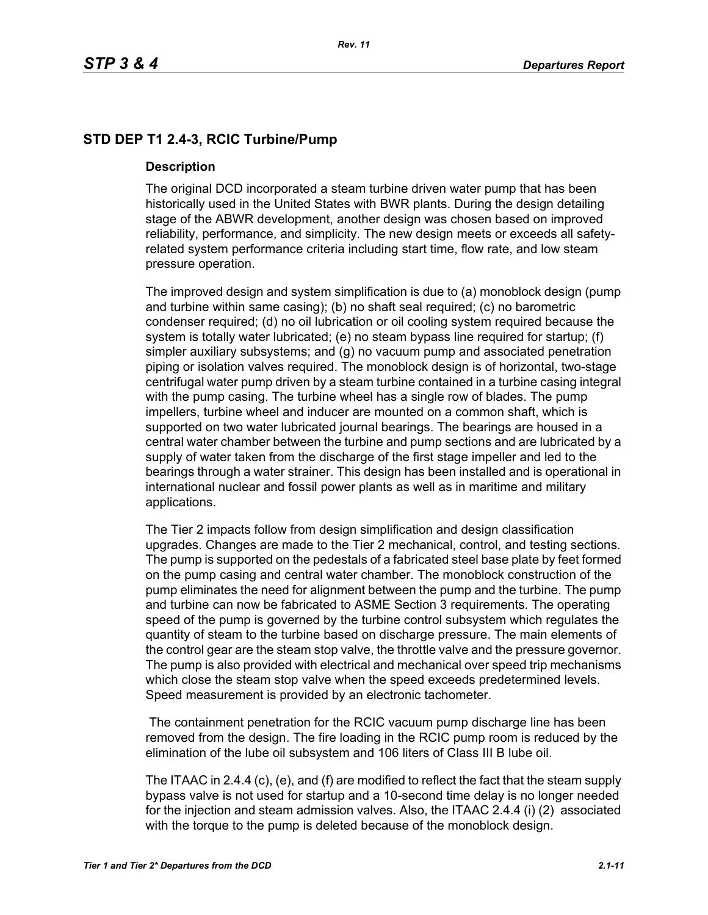# **STD DEP T1 2.4-3, RCIC Turbine/Pump**

#### **Description**

The original DCD incorporated a steam turbine driven water pump that has been historically used in the United States with BWR plants. During the design detailing stage of the ABWR development, another design was chosen based on improved reliability, performance, and simplicity. The new design meets or exceeds all safetyrelated system performance criteria including start time, flow rate, and low steam pressure operation.

The improved design and system simplification is due to (a) monoblock design (pump and turbine within same casing); (b) no shaft seal required; (c) no barometric condenser required; (d) no oil lubrication or oil cooling system required because the system is totally water lubricated; (e) no steam bypass line required for startup; (f) simpler auxiliary subsystems; and (g) no vacuum pump and associated penetration piping or isolation valves required. The monoblock design is of horizontal, two-stage centrifugal water pump driven by a steam turbine contained in a turbine casing integral with the pump casing. The turbine wheel has a single row of blades. The pump impellers, turbine wheel and inducer are mounted on a common shaft, which is supported on two water lubricated journal bearings. The bearings are housed in a central water chamber between the turbine and pump sections and are lubricated by a supply of water taken from the discharge of the first stage impeller and led to the bearings through a water strainer. This design has been installed and is operational in international nuclear and fossil power plants as well as in maritime and military applications.

The Tier 2 impacts follow from design simplification and design classification upgrades. Changes are made to the Tier 2 mechanical, control, and testing sections. The pump is supported on the pedestals of a fabricated steel base plate by feet formed on the pump casing and central water chamber. The monoblock construction of the pump eliminates the need for alignment between the pump and the turbine. The pump and turbine can now be fabricated to ASME Section 3 requirements. The operating speed of the pump is governed by the turbine control subsystem which regulates the quantity of steam to the turbine based on discharge pressure. The main elements of the control gear are the steam stop valve, the throttle valve and the pressure governor. The pump is also provided with electrical and mechanical over speed trip mechanisms which close the steam stop valve when the speed exceeds predetermined levels. Speed measurement is provided by an electronic tachometer.

 The containment penetration for the RCIC vacuum pump discharge line has been removed from the design. The fire loading in the RCIC pump room is reduced by the elimination of the lube oil subsystem and 106 liters of Class III B lube oil.

The ITAAC in 2.4.4 (c), (e), and (f) are modified to reflect the fact that the steam supply bypass valve is not used for startup and a 10-second time delay is no longer needed for the injection and steam admission valves. Also, the ITAAC 2.4.4 (i) (2) associated with the torque to the pump is deleted because of the monoblock design.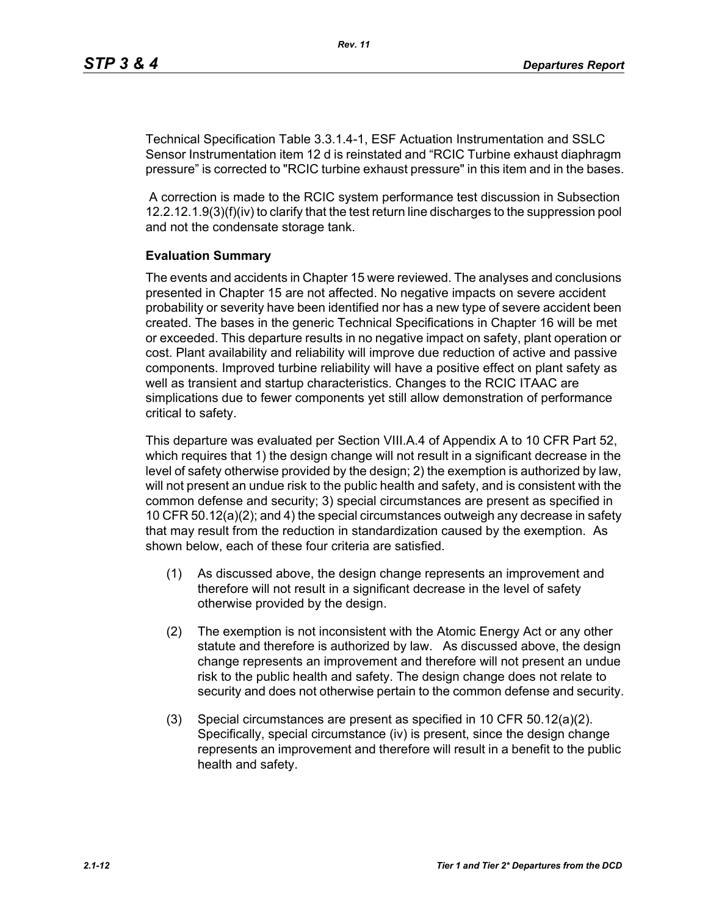Technical Specification Table 3.3.1.4-1, ESF Actuation Instrumentation and SSLC Sensor Instrumentation item 12 d is reinstated and "RCIC Turbine exhaust diaphragm pressure" is corrected to "RCIC turbine exhaust pressure" in this item and in the bases.

 A correction is made to the RCIC system performance test discussion in Subsection 12.2.12.1.9(3)(f)(iv) to clarify that the test return line discharges to the suppression pool and not the condensate storage tank.

## **Evaluation Summary**

The events and accidents in Chapter 15 were reviewed. The analyses and conclusions presented in Chapter 15 are not affected. No negative impacts on severe accident probability or severity have been identified nor has a new type of severe accident been created. The bases in the generic Technical Specifications in Chapter 16 will be met or exceeded. This departure results in no negative impact on safety, plant operation or cost. Plant availability and reliability will improve due reduction of active and passive components. Improved turbine reliability will have a positive effect on plant safety as well as transient and startup characteristics. Changes to the RCIC ITAAC are simplications due to fewer components yet still allow demonstration of performance critical to safety.

This departure was evaluated per Section VIII.A.4 of Appendix A to 10 CFR Part 52, which requires that 1) the design change will not result in a significant decrease in the level of safety otherwise provided by the design; 2) the exemption is authorized by law, will not present an undue risk to the public health and safety, and is consistent with the common defense and security; 3) special circumstances are present as specified in 10 CFR 50.12(a)(2); and 4) the special circumstances outweigh any decrease in safety that may result from the reduction in standardization caused by the exemption. As shown below, each of these four criteria are satisfied.

- (1) As discussed above, the design change represents an improvement and therefore will not result in a significant decrease in the level of safety otherwise provided by the design.
- (2) The exemption is not inconsistent with the Atomic Energy Act or any other statute and therefore is authorized by law. As discussed above, the design change represents an improvement and therefore will not present an undue risk to the public health and safety. The design change does not relate to security and does not otherwise pertain to the common defense and security.
- (3) Special circumstances are present as specified in 10 CFR 50.12(a)(2). Specifically, special circumstance (iv) is present, since the design change represents an improvement and therefore will result in a benefit to the public health and safety.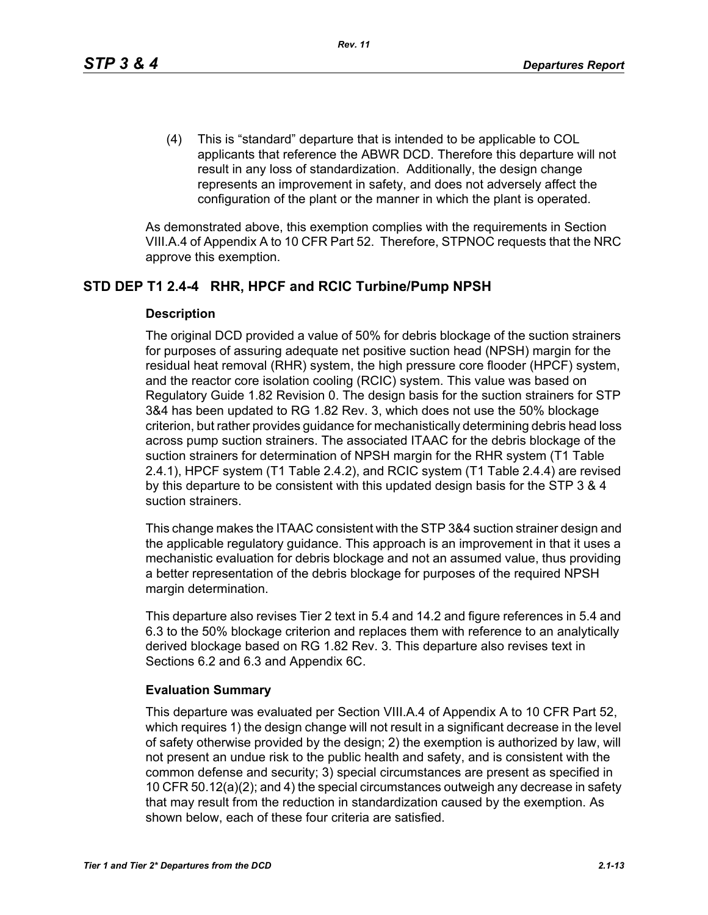(4) This is "standard" departure that is intended to be applicable to COL applicants that reference the ABWR DCD. Therefore this departure will not result in any loss of standardization. Additionally, the design change represents an improvement in safety, and does not adversely affect the configuration of the plant or the manner in which the plant is operated.

As demonstrated above, this exemption complies with the requirements in Section VIII.A.4 of Appendix A to 10 CFR Part 52. Therefore, STPNOC requests that the NRC approve this exemption.

## **STD DEP T1 2.4-4 RHR, HPCF and RCIC Turbine/Pump NPSH**

#### **Description**

The original DCD provided a value of 50% for debris blockage of the suction strainers for purposes of assuring adequate net positive suction head (NPSH) margin for the residual heat removal (RHR) system, the high pressure core flooder (HPCF) system, and the reactor core isolation cooling (RCIC) system. This value was based on Regulatory Guide 1.82 Revision 0. The design basis for the suction strainers for STP 3&4 has been updated to RG 1.82 Rev. 3, which does not use the 50% blockage criterion, but rather provides guidance for mechanistically determining debris head loss across pump suction strainers. The associated ITAAC for the debris blockage of the suction strainers for determination of NPSH margin for the RHR system (T1 Table 2.4.1), HPCF system (T1 Table 2.4.2), and RCIC system (T1 Table 2.4.4) are revised by this departure to be consistent with this updated design basis for the STP 3 & 4 suction strainers.

This change makes the ITAAC consistent with the STP 3&4 suction strainer design and the applicable regulatory guidance. This approach is an improvement in that it uses a mechanistic evaluation for debris blockage and not an assumed value, thus providing a better representation of the debris blockage for purposes of the required NPSH margin determination.

This departure also revises Tier 2 text in 5.4 and 14.2 and figure references in 5.4 and 6.3 to the 50% blockage criterion and replaces them with reference to an analytically derived blockage based on RG 1.82 Rev. 3. This departure also revises text in Sections 6.2 and 6.3 and Appendix 6C.

#### **Evaluation Summary**

This departure was evaluated per Section VIII.A.4 of Appendix A to 10 CFR Part 52, which requires 1) the design change will not result in a significant decrease in the level of safety otherwise provided by the design; 2) the exemption is authorized by law, will not present an undue risk to the public health and safety, and is consistent with the common defense and security; 3) special circumstances are present as specified in 10 CFR 50.12(a)(2); and 4) the special circumstances outweigh any decrease in safety that may result from the reduction in standardization caused by the exemption. As shown below, each of these four criteria are satisfied.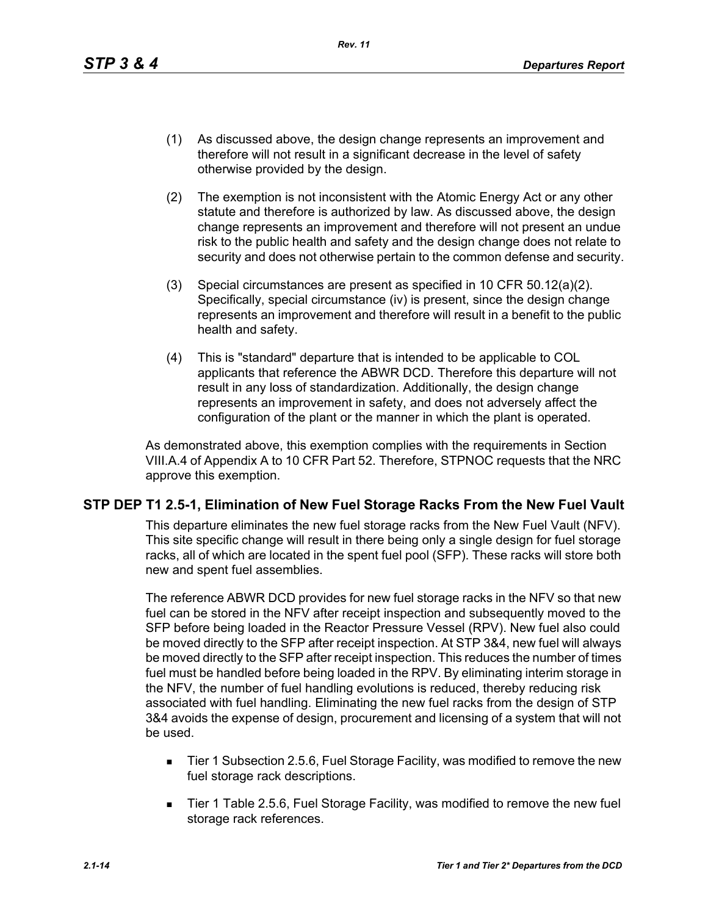- (1) As discussed above, the design change represents an improvement and therefore will not result in a significant decrease in the level of safety otherwise provided by the design.
- (2) The exemption is not inconsistent with the Atomic Energy Act or any other statute and therefore is authorized by law. As discussed above, the design change represents an improvement and therefore will not present an undue risk to the public health and safety and the design change does not relate to security and does not otherwise pertain to the common defense and security.
- (3) Special circumstances are present as specified in 10 CFR 50.12(a)(2). Specifically, special circumstance (iv) is present, since the design change represents an improvement and therefore will result in a benefit to the public health and safety.
- (4) This is "standard" departure that is intended to be applicable to COL applicants that reference the ABWR DCD. Therefore this departure will not result in any loss of standardization. Additionally, the design change represents an improvement in safety, and does not adversely affect the configuration of the plant or the manner in which the plant is operated.

As demonstrated above, this exemption complies with the requirements in Section VIII.A.4 of Appendix A to 10 CFR Part 52. Therefore, STPNOC requests that the NRC approve this exemption.

## **STP DEP T1 2.5-1, Elimination of New Fuel Storage Racks From the New Fuel Vault**

This departure eliminates the new fuel storage racks from the New Fuel Vault (NFV). This site specific change will result in there being only a single design for fuel storage racks, all of which are located in the spent fuel pool (SFP). These racks will store both new and spent fuel assemblies.

The reference ABWR DCD provides for new fuel storage racks in the NFV so that new fuel can be stored in the NFV after receipt inspection and subsequently moved to the SFP before being loaded in the Reactor Pressure Vessel (RPV). New fuel also could be moved directly to the SFP after receipt inspection. At STP 3&4, new fuel will always be moved directly to the SFP after receipt inspection. This reduces the number of times fuel must be handled before being loaded in the RPV. By eliminating interim storage in the NFV, the number of fuel handling evolutions is reduced, thereby reducing risk associated with fuel handling. Eliminating the new fuel racks from the design of STP 3&4 avoids the expense of design, procurement and licensing of a system that will not be used.

- Tier 1 Subsection 2.5.6, Fuel Storage Facility, was modified to remove the new fuel storage rack descriptions.
- Tier 1 Table 2.5.6, Fuel Storage Facility, was modified to remove the new fuel storage rack references.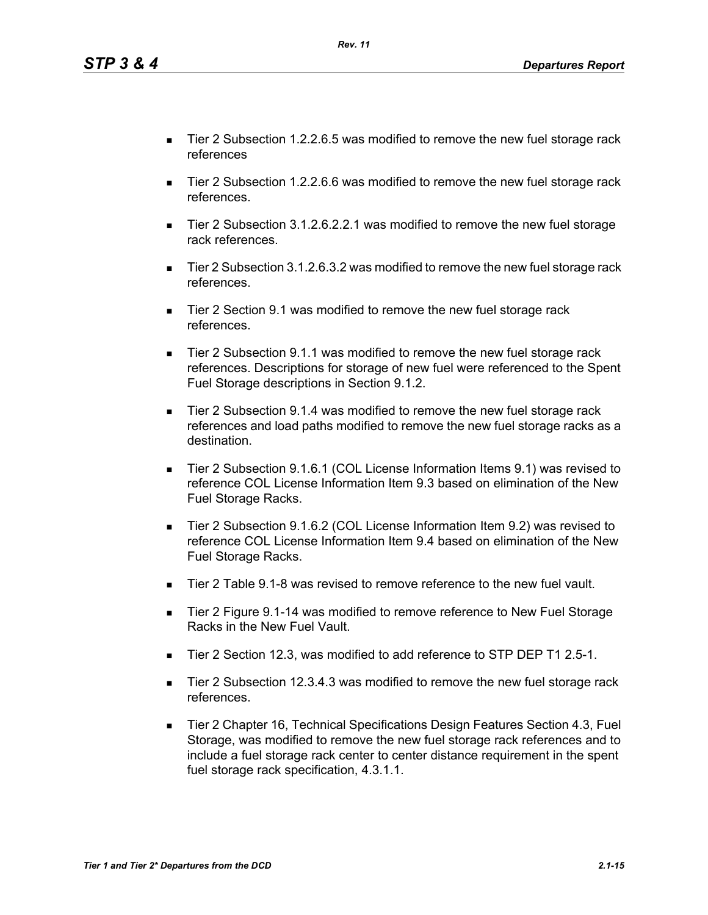*Tier 1 and Tier 2\* Departures from the DCD 2.1-15*

- Tier 2 Subsection 1.2.2.6.5 was modified to remove the new fuel storage rack references
- Tier 2 Subsection 1.2.2.6.6 was modified to remove the new fuel storage rack references.
- Tier 2 Subsection 3.1.2.6.2.2.1 was modified to remove the new fuel storage rack references.
- Tier 2 Subsection 3.1.2.6.3.2 was modified to remove the new fuel storage rack references.
- Tier 2 Section 9.1 was modified to remove the new fuel storage rack references.
- Tier 2 Subsection 9.1.1 was modified to remove the new fuel storage rack references. Descriptions for storage of new fuel were referenced to the Spent Fuel Storage descriptions in Section 9.1.2.
- Tier 2 Subsection 9.1.4 was modified to remove the new fuel storage rack references and load paths modified to remove the new fuel storage racks as a destination.
- Tier 2 Subsection 9.1.6.1 (COL License Information Items 9.1) was revised to reference COL License Information Item 9.3 based on elimination of the New Fuel Storage Racks.
- Tier 2 Subsection 9.1.6.2 (COL License Information Item 9.2) was revised to reference COL License Information Item 9.4 based on elimination of the New Fuel Storage Racks.
- Tier 2 Table 9.1-8 was revised to remove reference to the new fuel vault.
- Tier 2 Figure 9.1-14 was modified to remove reference to New Fuel Storage Racks in the New Fuel Vault.
- Tier 2 Section 12.3, was modified to add reference to STP DEP T1 2.5-1.
- Tier 2 Subsection 12.3.4.3 was modified to remove the new fuel storage rack references.
- Tier 2 Chapter 16, Technical Specifications Design Features Section 4.3, Fuel Storage, was modified to remove the new fuel storage rack references and to include a fuel storage rack center to center distance requirement in the spent fuel storage rack specification, 4.3.1.1.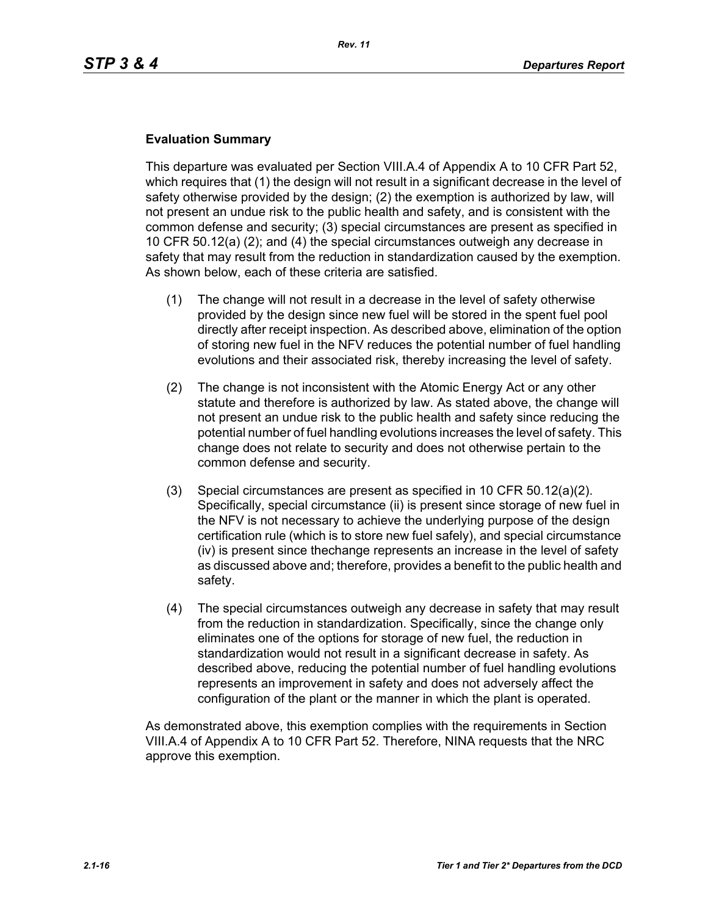#### **Evaluation Summary**

This departure was evaluated per Section VIII.A.4 of Appendix A to 10 CFR Part 52, which requires that (1) the design will not result in a significant decrease in the level of safety otherwise provided by the design; (2) the exemption is authorized by law, will not present an undue risk to the public health and safety, and is consistent with the common defense and security; (3) special circumstances are present as specified in 10 CFR 50.12(a) (2); and (4) the special circumstances outweigh any decrease in safety that may result from the reduction in standardization caused by the exemption. As shown below, each of these criteria are satisfied.

- (1) The change will not result in a decrease in the level of safety otherwise provided by the design since new fuel will be stored in the spent fuel pool directly after receipt inspection. As described above, elimination of the option of storing new fuel in the NFV reduces the potential number of fuel handling evolutions and their associated risk, thereby increasing the level of safety.
- (2) The change is not inconsistent with the Atomic Energy Act or any other statute and therefore is authorized by law. As stated above, the change will not present an undue risk to the public health and safety since reducing the potential number of fuel handling evolutions increases the level of safety. This change does not relate to security and does not otherwise pertain to the common defense and security.
- (3) Special circumstances are present as specified in 10 CFR 50.12(a)(2). Specifically, special circumstance (ii) is present since storage of new fuel in the NFV is not necessary to achieve the underlying purpose of the design certification rule (which is to store new fuel safely), and special circumstance (iv) is present since thechange represents an increase in the level of safety as discussed above and; therefore, provides a benefit to the public health and safety.
- (4) The special circumstances outweigh any decrease in safety that may result from the reduction in standardization. Specifically, since the change only eliminates one of the options for storage of new fuel, the reduction in standardization would not result in a significant decrease in safety. As described above, reducing the potential number of fuel handling evolutions represents an improvement in safety and does not adversely affect the configuration of the plant or the manner in which the plant is operated.

As demonstrated above, this exemption complies with the requirements in Section VIII.A.4 of Appendix A to 10 CFR Part 52. Therefore, NINA requests that the NRC approve this exemption.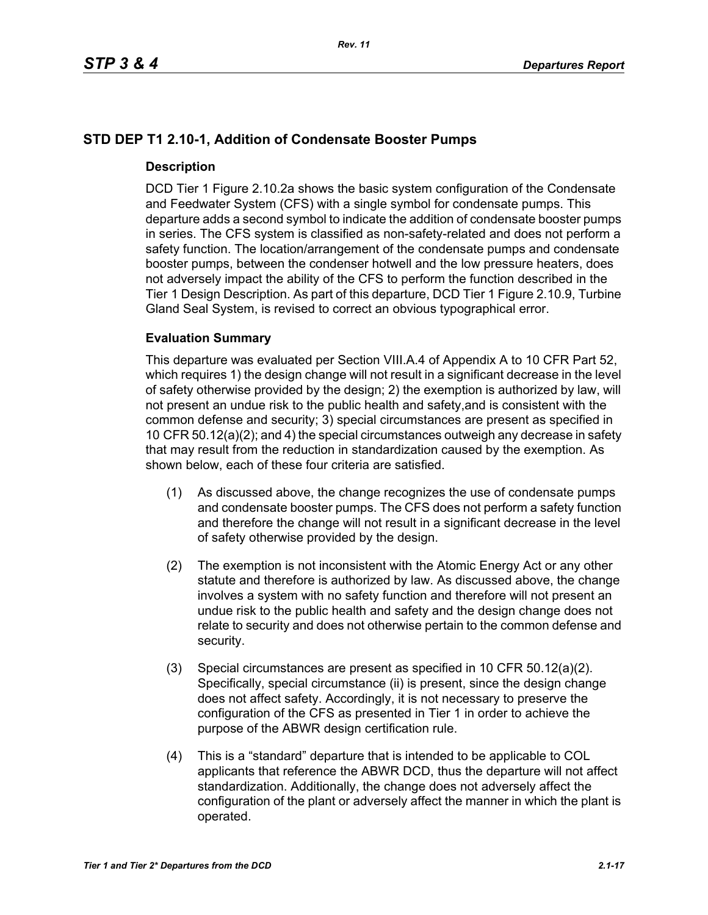# **STD DEP T1 2.10-1, Addition of Condensate Booster Pumps**

## **Description**

DCD Tier 1 Figure 2.10.2a shows the basic system configuration of the Condensate and Feedwater System (CFS) with a single symbol for condensate pumps. This departure adds a second symbol to indicate the addition of condensate booster pumps in series. The CFS system is classified as non-safety-related and does not perform a safety function. The location/arrangement of the condensate pumps and condensate booster pumps, between the condenser hotwell and the low pressure heaters, does not adversely impact the ability of the CFS to perform the function described in the Tier 1 Design Description. As part of this departure, DCD Tier 1 Figure 2.10.9, Turbine Gland Seal System, is revised to correct an obvious typographical error.

## **Evaluation Summary**

This departure was evaluated per Section VIII.A.4 of Appendix A to 10 CFR Part 52, which requires 1) the design change will not result in a significant decrease in the level of safety otherwise provided by the design; 2) the exemption is authorized by law, will not present an undue risk to the public health and safety,and is consistent with the common defense and security; 3) special circumstances are present as specified in 10 CFR 50.12(a)(2); and 4) the special circumstances outweigh any decrease in safety that may result from the reduction in standardization caused by the exemption. As shown below, each of these four criteria are satisfied.

- (1) As discussed above, the change recognizes the use of condensate pumps and condensate booster pumps. The CFS does not perform a safety function and therefore the change will not result in a significant decrease in the level of safety otherwise provided by the design.
- (2) The exemption is not inconsistent with the Atomic Energy Act or any other statute and therefore is authorized by law. As discussed above, the change involves a system with no safety function and therefore will not present an undue risk to the public health and safety and the design change does not relate to security and does not otherwise pertain to the common defense and security.
- (3) Special circumstances are present as specified in 10 CFR 50.12(a)(2). Specifically, special circumstance (ii) is present, since the design change does not affect safety. Accordingly, it is not necessary to preserve the configuration of the CFS as presented in Tier 1 in order to achieve the purpose of the ABWR design certification rule.
- (4) This is a "standard" departure that is intended to be applicable to COL applicants that reference the ABWR DCD, thus the departure will not affect standardization. Additionally, the change does not adversely affect the configuration of the plant or adversely affect the manner in which the plant is operated.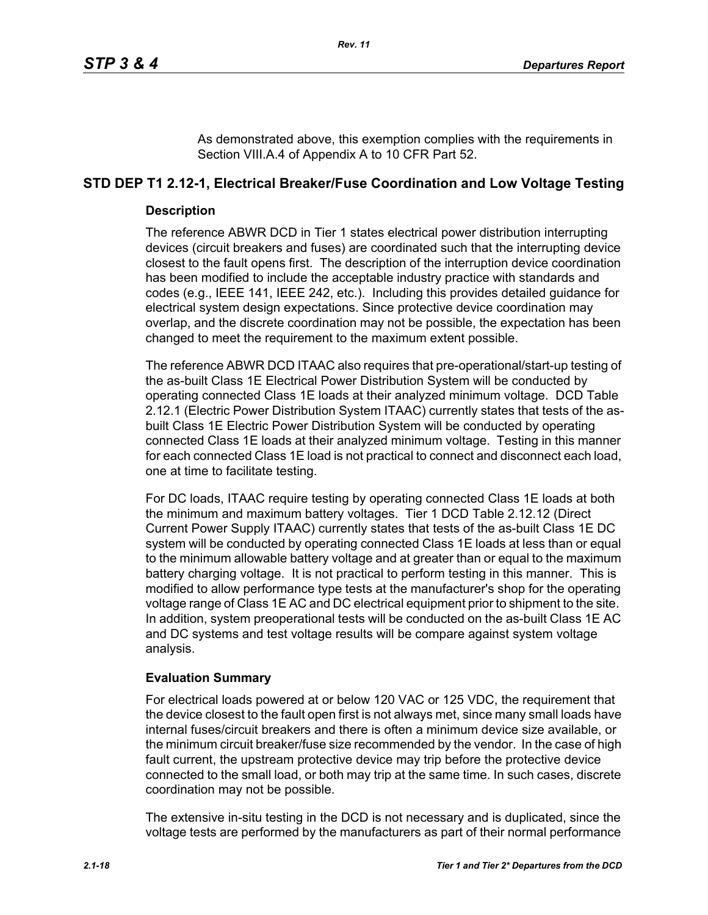As demonstrated above, this exemption complies with the requirements in Section VIII.A.4 of Appendix A to 10 CFR Part 52.

# **STD DEP T1 2.12-1, Electrical Breaker/Fuse Coordination and Low Voltage Testing**

## **Description**

The reference ABWR DCD in Tier 1 states electrical power distribution interrupting devices (circuit breakers and fuses) are coordinated such that the interrupting device closest to the fault opens first. The description of the interruption device coordination has been modified to include the acceptable industry practice with standards and codes (e.g., IEEE 141, IEEE 242, etc.). Including this provides detailed guidance for electrical system design expectations. Since protective device coordination may overlap, and the discrete coordination may not be possible, the expectation has been changed to meet the requirement to the maximum extent possible.

The reference ABWR DCD ITAAC also requires that pre-operational/start-up testing of the as-built Class 1E Electrical Power Distribution System will be conducted by operating connected Class 1E loads at their analyzed minimum voltage. DCD Table 2.12.1 (Electric Power Distribution System ITAAC) currently states that tests of the asbuilt Class 1E Electric Power Distribution System will be conducted by operating connected Class 1E loads at their analyzed minimum voltage. Testing in this manner for each connected Class 1E load is not practical to connect and disconnect each load, one at time to facilitate testing.

For DC loads, ITAAC require testing by operating connected Class 1E loads at both the minimum and maximum battery voltages. Tier 1 DCD Table 2.12.12 (Direct Current Power Supply ITAAC) currently states that tests of the as-built Class 1E DC system will be conducted by operating connected Class 1E loads at less than or equal to the minimum allowable battery voltage and at greater than or equal to the maximum battery charging voltage. It is not practical to perform testing in this manner. This is modified to allow performance type tests at the manufacturer's shop for the operating voltage range of Class 1E AC and DC electrical equipment prior to shipment to the site. In addition, system preoperational tests will be conducted on the as-built Class 1E AC and DC systems and test voltage results will be compare against system voltage analysis.

# **Evaluation Summary**

For electrical loads powered at or below 120 VAC or 125 VDC, the requirement that the device closest to the fault open first is not always met, since many small loads have internal fuses/circuit breakers and there is often a minimum device size available, or the minimum circuit breaker/fuse size recommended by the vendor. In the case of high fault current, the upstream protective device may trip before the protective device connected to the small load, or both may trip at the same time. In such cases, discrete coordination may not be possible.

The extensive in-situ testing in the DCD is not necessary and is duplicated, since the voltage tests are performed by the manufacturers as part of their normal performance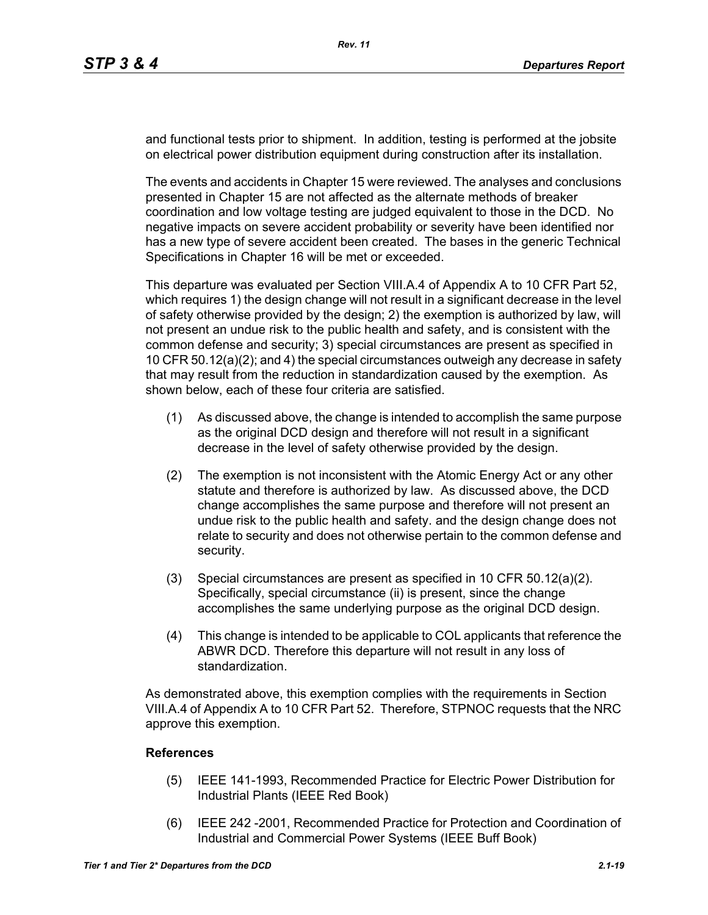and functional tests prior to shipment. In addition, testing is performed at the jobsite on electrical power distribution equipment during construction after its installation.

The events and accidents in Chapter 15 were reviewed. The analyses and conclusions presented in Chapter 15 are not affected as the alternate methods of breaker coordination and low voltage testing are judged equivalent to those in the DCD. No negative impacts on severe accident probability or severity have been identified nor has a new type of severe accident been created. The bases in the generic Technical Specifications in Chapter 16 will be met or exceeded.

This departure was evaluated per Section VIII.A.4 of Appendix A to 10 CFR Part 52, which requires 1) the design change will not result in a significant decrease in the level of safety otherwise provided by the design; 2) the exemption is authorized by law, will not present an undue risk to the public health and safety, and is consistent with the common defense and security; 3) special circumstances are present as specified in 10 CFR 50.12(a)(2); and 4) the special circumstances outweigh any decrease in safety that may result from the reduction in standardization caused by the exemption. As shown below, each of these four criteria are satisfied.

- (1) As discussed above, the change is intended to accomplish the same purpose as the original DCD design and therefore will not result in a significant decrease in the level of safety otherwise provided by the design.
- (2) The exemption is not inconsistent with the Atomic Energy Act or any other statute and therefore is authorized by law. As discussed above, the DCD change accomplishes the same purpose and therefore will not present an undue risk to the public health and safety. and the design change does not relate to security and does not otherwise pertain to the common defense and security.
- (3) Special circumstances are present as specified in 10 CFR 50.12(a)(2). Specifically, special circumstance (ii) is present, since the change accomplishes the same underlying purpose as the original DCD design.
- (4) This change is intended to be applicable to COL applicants that reference the ABWR DCD. Therefore this departure will not result in any loss of standardization.

As demonstrated above, this exemption complies with the requirements in Section VIII.A.4 of Appendix A to 10 CFR Part 52. Therefore, STPNOC requests that the NRC approve this exemption.

## **References**

- (5) IEEE 141-1993, Recommended Practice for Electric Power Distribution for Industrial Plants (IEEE Red Book)
- (6) IEEE 242 -2001, Recommended Practice for Protection and Coordination of Industrial and Commercial Power Systems (IEEE Buff Book)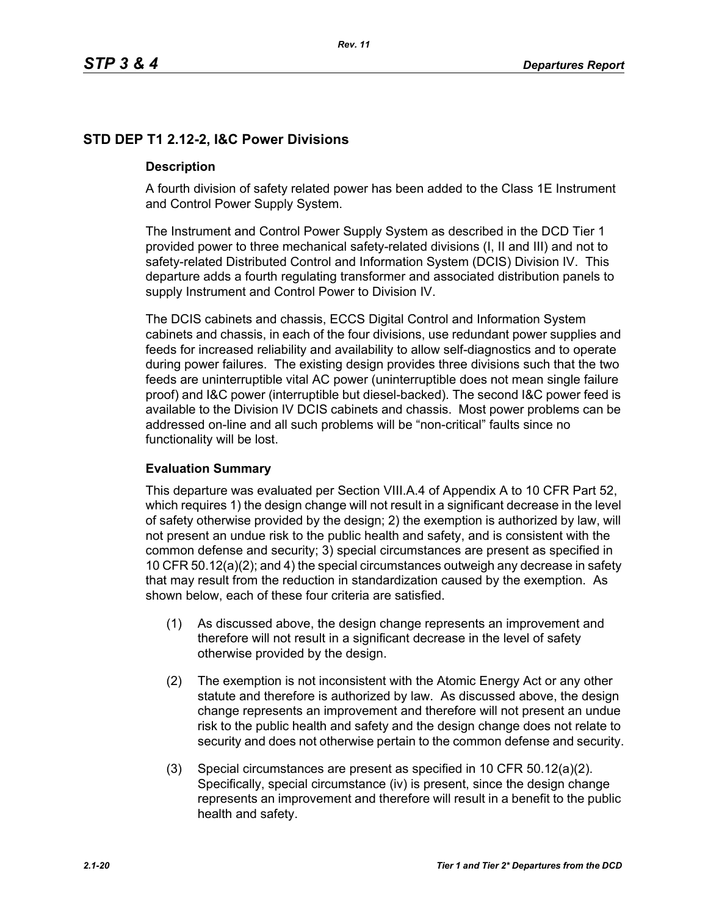# **STD DEP T1 2.12-2, I&C Power Divisions**

## **Description**

A fourth division of safety related power has been added to the Class 1E Instrument and Control Power Supply System.

The Instrument and Control Power Supply System as described in the DCD Tier 1 provided power to three mechanical safety-related divisions (I, II and III) and not to safety-related Distributed Control and Information System (DCIS) Division IV. This departure adds a fourth regulating transformer and associated distribution panels to supply Instrument and Control Power to Division IV.

The DCIS cabinets and chassis, ECCS Digital Control and Information System cabinets and chassis, in each of the four divisions, use redundant power supplies and feeds for increased reliability and availability to allow self-diagnostics and to operate during power failures. The existing design provides three divisions such that the two feeds are uninterruptible vital AC power (uninterruptible does not mean single failure proof) and I&C power (interruptible but diesel-backed). The second I&C power feed is available to the Division IV DCIS cabinets and chassis. Most power problems can be addressed on-line and all such problems will be "non-critical" faults since no functionality will be lost.

## **Evaluation Summary**

This departure was evaluated per Section VIII.A.4 of Appendix A to 10 CFR Part 52, which requires 1) the design change will not result in a significant decrease in the level of safety otherwise provided by the design; 2) the exemption is authorized by law, will not present an undue risk to the public health and safety, and is consistent with the common defense and security; 3) special circumstances are present as specified in 10 CFR 50.12(a)(2); and 4) the special circumstances outweigh any decrease in safety that may result from the reduction in standardization caused by the exemption. As shown below, each of these four criteria are satisfied.

- (1) As discussed above, the design change represents an improvement and therefore will not result in a significant decrease in the level of safety otherwise provided by the design.
- (2) The exemption is not inconsistent with the Atomic Energy Act or any other statute and therefore is authorized by law. As discussed above, the design change represents an improvement and therefore will not present an undue risk to the public health and safety and the design change does not relate to security and does not otherwise pertain to the common defense and security.
- (3) Special circumstances are present as specified in 10 CFR 50.12(a)(2). Specifically, special circumstance (iv) is present, since the design change represents an improvement and therefore will result in a benefit to the public health and safety.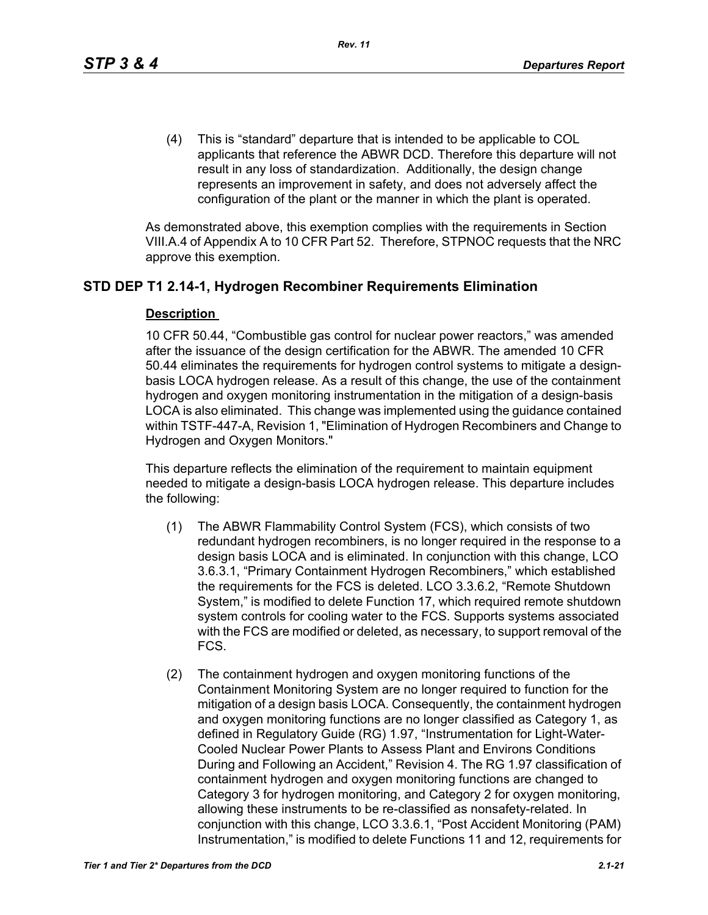(4) This is "standard" departure that is intended to be applicable to COL applicants that reference the ABWR DCD. Therefore this departure will not result in any loss of standardization. Additionally, the design change represents an improvement in safety, and does not adversely affect the configuration of the plant or the manner in which the plant is operated.

As demonstrated above, this exemption complies with the requirements in Section VIII.A.4 of Appendix A to 10 CFR Part 52. Therefore, STPNOC requests that the NRC approve this exemption.

# **STD DEP T1 2.14-1, Hydrogen Recombiner Requirements Elimination**

# **Description**

10 CFR 50.44, "Combustible gas control for nuclear power reactors," was amended after the issuance of the design certification for the ABWR. The amended 10 CFR 50.44 eliminates the requirements for hydrogen control systems to mitigate a designbasis LOCA hydrogen release. As a result of this change, the use of the containment hydrogen and oxygen monitoring instrumentation in the mitigation of a design-basis LOCA is also eliminated. This change was implemented using the guidance contained within TSTF-447-A, Revision 1, "Elimination of Hydrogen Recombiners and Change to Hydrogen and Oxygen Monitors."

This departure reflects the elimination of the requirement to maintain equipment needed to mitigate a design-basis LOCA hydrogen release. This departure includes the following:

- (1) The ABWR Flammability Control System (FCS), which consists of two redundant hydrogen recombiners, is no longer required in the response to a design basis LOCA and is eliminated. In conjunction with this change, LCO 3.6.3.1, "Primary Containment Hydrogen Recombiners," which established the requirements for the FCS is deleted. LCO 3.3.6.2, "Remote Shutdown System," is modified to delete Function 17, which required remote shutdown system controls for cooling water to the FCS. Supports systems associated with the FCS are modified or deleted, as necessary, to support removal of the FCS.
- (2) The containment hydrogen and oxygen monitoring functions of the Containment Monitoring System are no longer required to function for the mitigation of a design basis LOCA. Consequently, the containment hydrogen and oxygen monitoring functions are no longer classified as Category 1, as defined in Regulatory Guide (RG) 1.97, "Instrumentation for Light-Water-Cooled Nuclear Power Plants to Assess Plant and Environs Conditions During and Following an Accident," Revision 4. The RG 1.97 classification of containment hydrogen and oxygen monitoring functions are changed to Category 3 for hydrogen monitoring, and Category 2 for oxygen monitoring, allowing these instruments to be re-classified as nonsafety-related. In conjunction with this change, LCO 3.3.6.1, "Post Accident Monitoring (PAM) Instrumentation," is modified to delete Functions 11 and 12, requirements for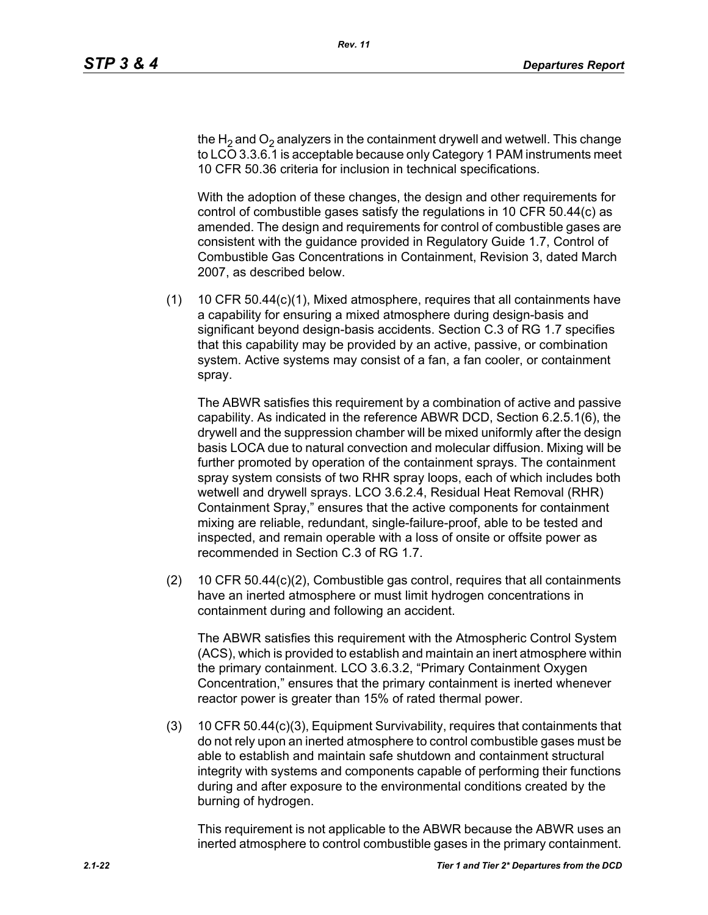the H<sub>2</sub> and O<sub>2</sub> analyzers in the containment drywell and wetwell. This change to LCO 3.3.6.1 is acceptable because only Category 1 PAM instruments meet 10 CFR 50.36 criteria for inclusion in technical specifications.

With the adoption of these changes, the design and other requirements for control of combustible gases satisfy the regulations in 10 CFR 50.44(c) as amended. The design and requirements for control of combustible gases are consistent with the guidance provided in Regulatory Guide 1.7, Control of Combustible Gas Concentrations in Containment, Revision 3, dated March 2007, as described below.

(1) 10 CFR 50.44(c)(1), Mixed atmosphere, requires that all containments have a capability for ensuring a mixed atmosphere during design-basis and significant beyond design-basis accidents. Section C.3 of RG 1.7 specifies that this capability may be provided by an active, passive, or combination system. Active systems may consist of a fan, a fan cooler, or containment spray.

The ABWR satisfies this requirement by a combination of active and passive capability. As indicated in the reference ABWR DCD, Section 6.2.5.1(6), the drywell and the suppression chamber will be mixed uniformly after the design basis LOCA due to natural convection and molecular diffusion. Mixing will be further promoted by operation of the containment sprays. The containment spray system consists of two RHR spray loops, each of which includes both wetwell and drywell sprays. LCO 3.6.2.4, Residual Heat Removal (RHR) Containment Spray," ensures that the active components for containment mixing are reliable, redundant, single-failure-proof, able to be tested and inspected, and remain operable with a loss of onsite or offsite power as recommended in Section C.3 of RG 1.7.

(2) 10 CFR 50.44(c)(2), Combustible gas control, requires that all containments have an inerted atmosphere or must limit hydrogen concentrations in containment during and following an accident.

The ABWR satisfies this requirement with the Atmospheric Control System (ACS), which is provided to establish and maintain an inert atmosphere within the primary containment. LCO 3.6.3.2, "Primary Containment Oxygen Concentration," ensures that the primary containment is inerted whenever reactor power is greater than 15% of rated thermal power.

(3) 10 CFR 50.44(c)(3), Equipment Survivability, requires that containments that do not rely upon an inerted atmosphere to control combustible gases must be able to establish and maintain safe shutdown and containment structural integrity with systems and components capable of performing their functions during and after exposure to the environmental conditions created by the burning of hydrogen.

This requirement is not applicable to the ABWR because the ABWR uses an inerted atmosphere to control combustible gases in the primary containment.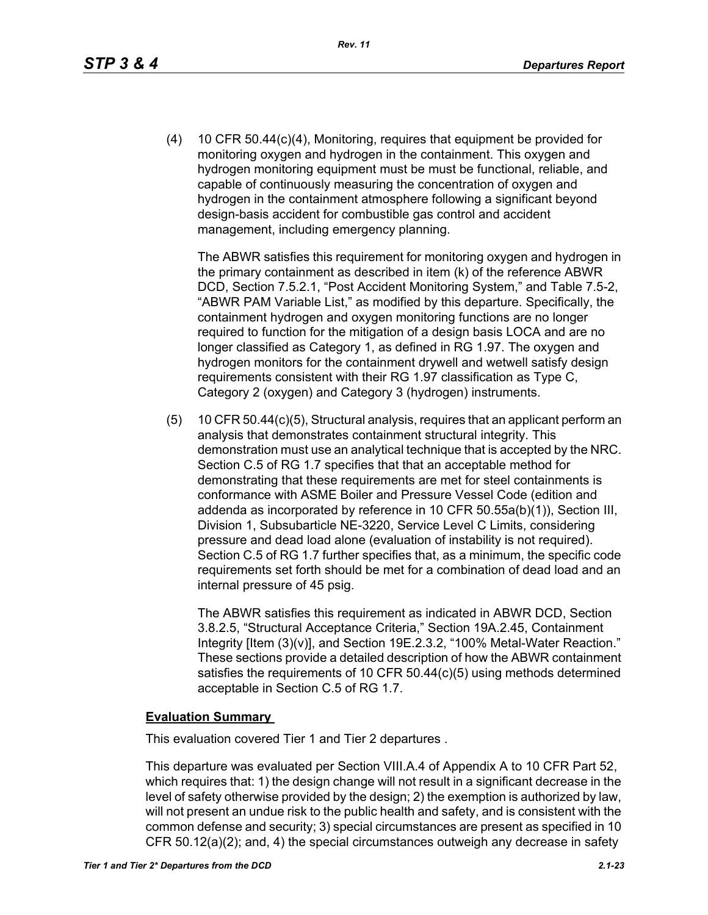(4) 10 CFR 50.44(c)(4), Monitoring, requires that equipment be provided for monitoring oxygen and hydrogen in the containment. This oxygen and hydrogen monitoring equipment must be must be functional, reliable, and capable of continuously measuring the concentration of oxygen and hydrogen in the containment atmosphere following a significant beyond design-basis accident for combustible gas control and accident management, including emergency planning.

The ABWR satisfies this requirement for monitoring oxygen and hydrogen in the primary containment as described in item (k) of the reference ABWR DCD, Section 7.5.2.1, "Post Accident Monitoring System," and Table 7.5-2, "ABWR PAM Variable List," as modified by this departure. Specifically, the containment hydrogen and oxygen monitoring functions are no longer required to function for the mitigation of a design basis LOCA and are no longer classified as Category 1, as defined in RG 1.97. The oxygen and hydrogen monitors for the containment drywell and wetwell satisfy design requirements consistent with their RG 1.97 classification as Type C, Category 2 (oxygen) and Category 3 (hydrogen) instruments.

(5) 10 CFR 50.44(c)(5), Structural analysis, requires that an applicant perform an analysis that demonstrates containment structural integrity. This demonstration must use an analytical technique that is accepted by the NRC. Section C.5 of RG 1.7 specifies that that an acceptable method for demonstrating that these requirements are met for steel containments is conformance with ASME Boiler and Pressure Vessel Code (edition and addenda as incorporated by reference in 10 CFR 50.55a(b)(1)), Section III, Division 1, Subsubarticle NE-3220, Service Level C Limits, considering pressure and dead load alone (evaluation of instability is not required). Section C.5 of RG 1.7 further specifies that, as a minimum, the specific code requirements set forth should be met for a combination of dead load and an internal pressure of 45 psig.

The ABWR satisfies this requirement as indicated in ABWR DCD, Section 3.8.2.5, "Structural Acceptance Criteria," Section 19A.2.45, Containment Integrity [Item (3)(v)], and Section 19E.2.3.2, "100% Metal-Water Reaction." These sections provide a detailed description of how the ABWR containment satisfies the requirements of 10 CFR 50.44(c)(5) using methods determined acceptable in Section C.5 of RG 1.7.

#### **Evaluation Summary**

This evaluation covered Tier 1 and Tier 2 departures .

This departure was evaluated per Section VIII.A.4 of Appendix A to 10 CFR Part 52, which requires that: 1) the design change will not result in a significant decrease in the level of safety otherwise provided by the design; 2) the exemption is authorized by law, will not present an undue risk to the public health and safety, and is consistent with the common defense and security; 3) special circumstances are present as specified in 10 CFR 50.12(a)(2); and, 4) the special circumstances outweigh any decrease in safety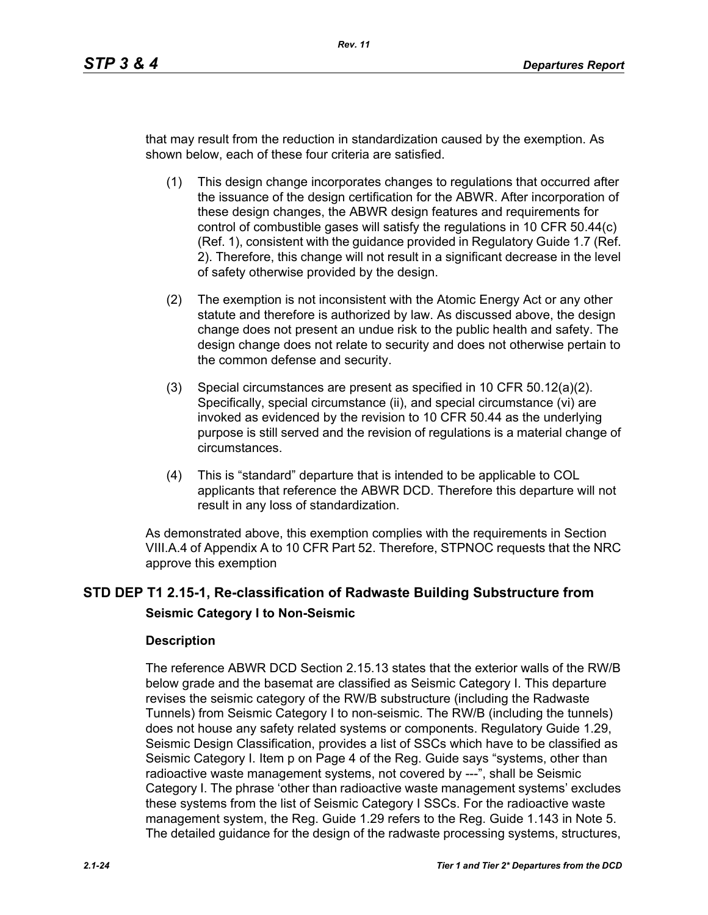that may result from the reduction in standardization caused by the exemption. As shown below, each of these four criteria are satisfied.

- (1) This design change incorporates changes to regulations that occurred after the issuance of the design certification for the ABWR. After incorporation of these design changes, the ABWR design features and requirements for control of combustible gases will satisfy the regulations in 10 CFR 50.44(c) (Ref. 1), consistent with the guidance provided in Regulatory Guide 1.7 (Ref. 2). Therefore, this change will not result in a significant decrease in the level of safety otherwise provided by the design.
- (2) The exemption is not inconsistent with the Atomic Energy Act or any other statute and therefore is authorized by law. As discussed above, the design change does not present an undue risk to the public health and safety. The design change does not relate to security and does not otherwise pertain to the common defense and security.
- (3) Special circumstances are present as specified in 10 CFR 50.12(a)(2). Specifically, special circumstance (ii), and special circumstance (vi) are invoked as evidenced by the revision to 10 CFR 50.44 as the underlying purpose is still served and the revision of regulations is a material change of circumstances.
- (4) This is "standard" departure that is intended to be applicable to COL applicants that reference the ABWR DCD. Therefore this departure will not result in any loss of standardization.

As demonstrated above, this exemption complies with the requirements in Section VIII.A.4 of Appendix A to 10 CFR Part 52. Therefore, STPNOC requests that the NRC approve this exemption

# **STD DEP T1 2.15-1, Re-classification of Radwaste Building Substructure from Seismic Category I to Non-Seismic**

## **Description**

The reference ABWR DCD Section 2.15.13 states that the exterior walls of the RW/B below grade and the basemat are classified as Seismic Category I. This departure revises the seismic category of the RW/B substructure (including the Radwaste Tunnels) from Seismic Category I to non-seismic. The RW/B (including the tunnels) does not house any safety related systems or components. Regulatory Guide 1.29, Seismic Design Classification, provides a list of SSCs which have to be classified as Seismic Category I. Item p on Page 4 of the Reg. Guide says "systems, other than radioactive waste management systems, not covered by ---", shall be Seismic Category I. The phrase 'other than radioactive waste management systems' excludes these systems from the list of Seismic Category I SSCs. For the radioactive waste management system, the Reg. Guide 1.29 refers to the Reg. Guide 1.143 in Note 5. The detailed guidance for the design of the radwaste processing systems, structures,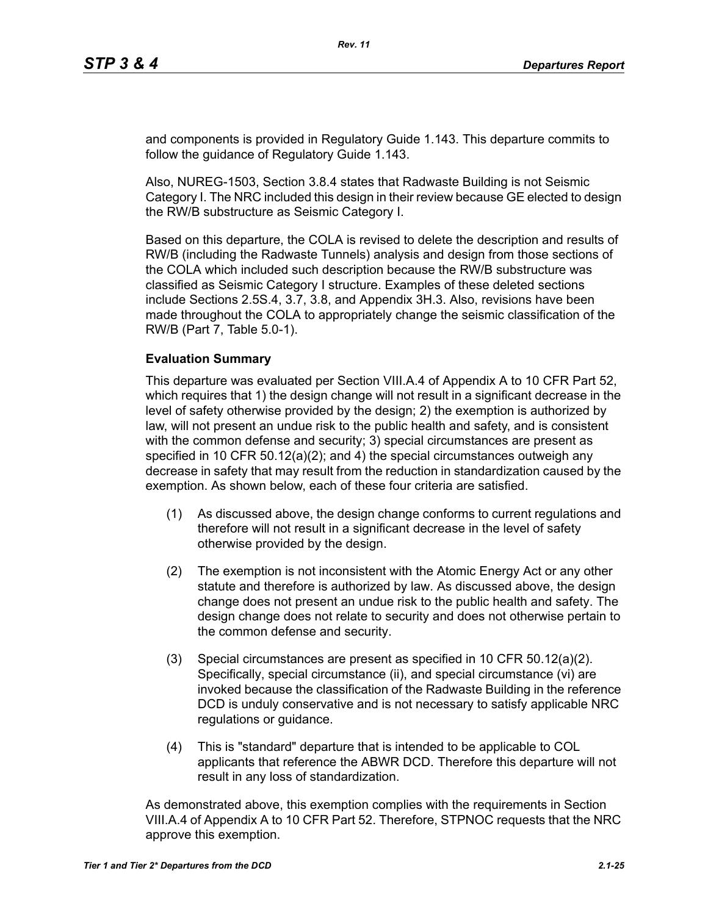and components is provided in Regulatory Guide 1.143. This departure commits to follow the guidance of Regulatory Guide 1.143.

Also, NUREG-1503, Section 3.8.4 states that Radwaste Building is not Seismic Category I. The NRC included this design in their review because GE elected to design the RW/B substructure as Seismic Category I.

Based on this departure, the COLA is revised to delete the description and results of RW/B (including the Radwaste Tunnels) analysis and design from those sections of the COLA which included such description because the RW/B substructure was classified as Seismic Category I structure. Examples of these deleted sections include Sections 2.5S.4, 3.7, 3.8, and Appendix 3H.3. Also, revisions have been made throughout the COLA to appropriately change the seismic classification of the RW/B (Part 7, Table 5.0-1).

#### **Evaluation Summary**

This departure was evaluated per Section VIII.A.4 of Appendix A to 10 CFR Part 52, which requires that 1) the design change will not result in a significant decrease in the level of safety otherwise provided by the design; 2) the exemption is authorized by law, will not present an undue risk to the public health and safety, and is consistent with the common defense and security; 3) special circumstances are present as specified in 10 CFR 50.12(a)(2); and 4) the special circumstances outweigh any decrease in safety that may result from the reduction in standardization caused by the exemption. As shown below, each of these four criteria are satisfied.

- (1) As discussed above, the design change conforms to current regulations and therefore will not result in a significant decrease in the level of safety otherwise provided by the design.
- (2) The exemption is not inconsistent with the Atomic Energy Act or any other statute and therefore is authorized by law. As discussed above, the design change does not present an undue risk to the public health and safety. The design change does not relate to security and does not otherwise pertain to the common defense and security.
- (3) Special circumstances are present as specified in 10 CFR 50.12(a)(2). Specifically, special circumstance (ii), and special circumstance (vi) are invoked because the classification of the Radwaste Building in the reference DCD is unduly conservative and is not necessary to satisfy applicable NRC regulations or guidance.
- (4) This is "standard" departure that is intended to be applicable to COL applicants that reference the ABWR DCD. Therefore this departure will not result in any loss of standardization.

As demonstrated above, this exemption complies with the requirements in Section VIII.A.4 of Appendix A to 10 CFR Part 52. Therefore, STPNOC requests that the NRC approve this exemption.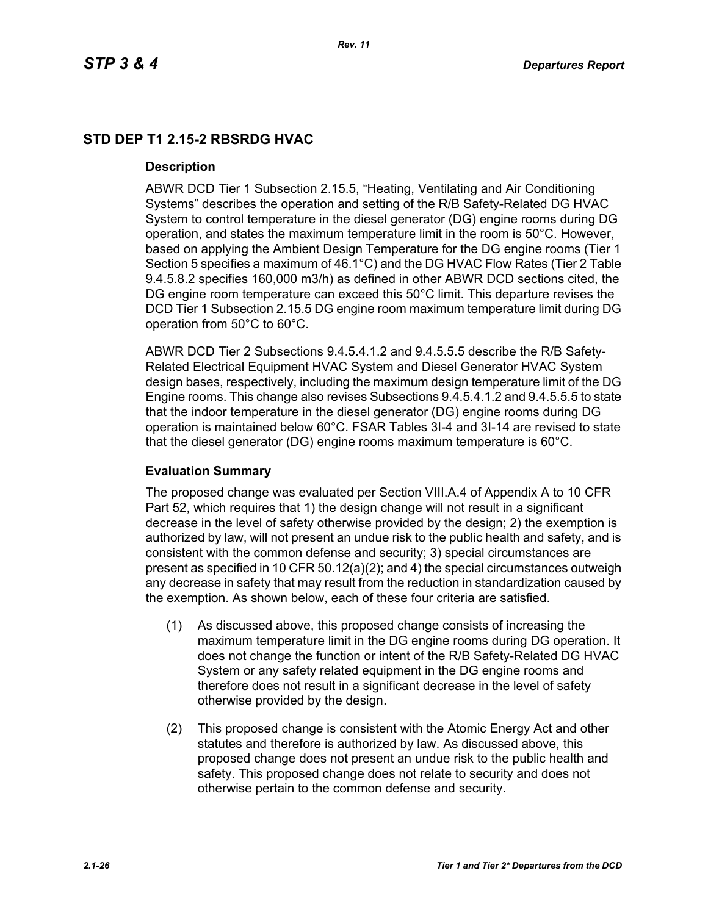# **STD DEP T1 2.15-2 RBSRDG HVAC**

#### **Description**

ABWR DCD Tier 1 Subsection 2.15.5, "Heating, Ventilating and Air Conditioning Systems" describes the operation and setting of the R/B Safety-Related DG HVAC System to control temperature in the diesel generator (DG) engine rooms during DG operation, and states the maximum temperature limit in the room is 50°C. However, based on applying the Ambient Design Temperature for the DG engine rooms (Tier 1 Section 5 specifies a maximum of 46.1°C) and the DG HVAC Flow Rates (Tier 2 Table 9.4.5.8.2 specifies 160,000 m3/h) as defined in other ABWR DCD sections cited, the DG engine room temperature can exceed this 50°C limit. This departure revises the DCD Tier 1 Subsection 2.15.5 DG engine room maximum temperature limit during DG operation from 50°C to 60°C.

ABWR DCD Tier 2 Subsections 9.4.5.4.1.2 and 9.4.5.5.5 describe the R/B Safety-Related Electrical Equipment HVAC System and Diesel Generator HVAC System design bases, respectively, including the maximum design temperature limit of the DG Engine rooms. This change also revises Subsections 9.4.5.4.1.2 and 9.4.5.5.5 to state that the indoor temperature in the diesel generator (DG) engine rooms during DG operation is maintained below 60°C. FSAR Tables 3I-4 and 3I-14 are revised to state that the diesel generator (DG) engine rooms maximum temperature is 60°C.

## **Evaluation Summary**

The proposed change was evaluated per Section VIII.A.4 of Appendix A to 10 CFR Part 52, which requires that 1) the design change will not result in a significant decrease in the level of safety otherwise provided by the design; 2) the exemption is authorized by law, will not present an undue risk to the public health and safety, and is consistent with the common defense and security; 3) special circumstances are present as specified in 10 CFR 50.12(a)(2); and 4) the special circumstances outweigh any decrease in safety that may result from the reduction in standardization caused by the exemption. As shown below, each of these four criteria are satisfied.

- (1) As discussed above, this proposed change consists of increasing the maximum temperature limit in the DG engine rooms during DG operation. It does not change the function or intent of the R/B Safety-Related DG HVAC System or any safety related equipment in the DG engine rooms and therefore does not result in a significant decrease in the level of safety otherwise provided by the design.
- (2) This proposed change is consistent with the Atomic Energy Act and other statutes and therefore is authorized by law. As discussed above, this proposed change does not present an undue risk to the public health and safety. This proposed change does not relate to security and does not otherwise pertain to the common defense and security.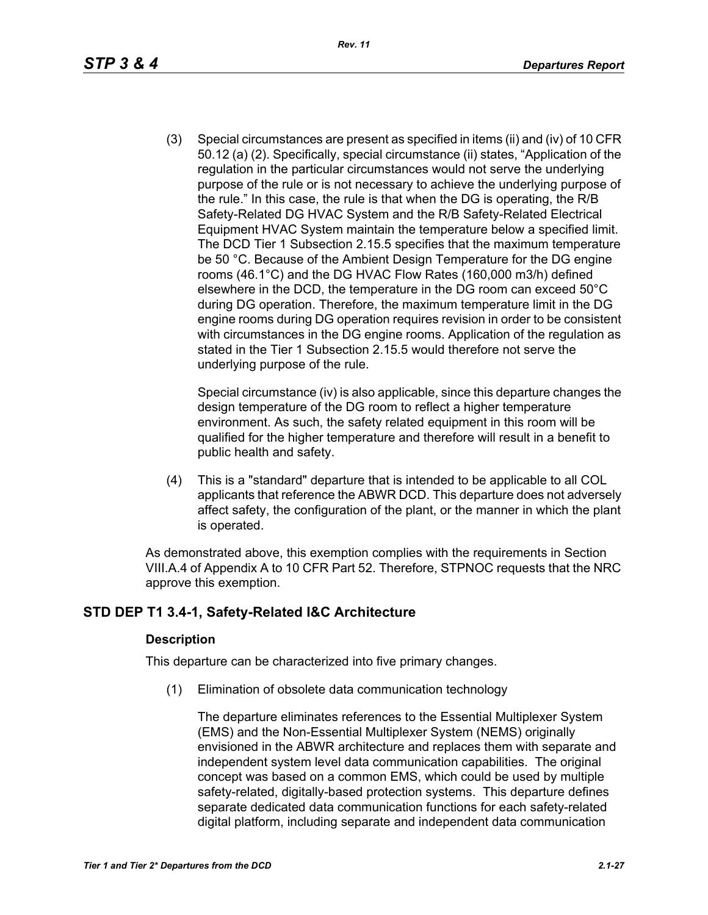(3) Special circumstances are present as specified in items (ii) and (iv) of 10 CFR 50.12 (a) (2). Specifically, special circumstance (ii) states, "Application of the regulation in the particular circumstances would not serve the underlying purpose of the rule or is not necessary to achieve the underlying purpose of the rule." In this case, the rule is that when the DG is operating, the R/B Safety-Related DG HVAC System and the R/B Safety-Related Electrical Equipment HVAC System maintain the temperature below a specified limit. The DCD Tier 1 Subsection 2.15.5 specifies that the maximum temperature be 50 °C. Because of the Ambient Design Temperature for the DG engine rooms (46.1°C) and the DG HVAC Flow Rates (160,000 m3/h) defined elsewhere in the DCD, the temperature in the DG room can exceed 50°C during DG operation. Therefore, the maximum temperature limit in the DG engine rooms during DG operation requires revision in order to be consistent with circumstances in the DG engine rooms. Application of the regulation as stated in the Tier 1 Subsection 2.15.5 would therefore not serve the underlying purpose of the rule.

Special circumstance (iv) is also applicable, since this departure changes the design temperature of the DG room to reflect a higher temperature environment. As such, the safety related equipment in this room will be qualified for the higher temperature and therefore will result in a benefit to public health and safety.

(4) This is a "standard" departure that is intended to be applicable to all COL applicants that reference the ABWR DCD. This departure does not adversely affect safety, the configuration of the plant, or the manner in which the plant is operated.

As demonstrated above, this exemption complies with the requirements in Section VIII.A.4 of Appendix A to 10 CFR Part 52. Therefore, STPNOC requests that the NRC approve this exemption.

# **STD DEP T1 3.4-1, Safety-Related I&C Architecture**

## **Description**

This departure can be characterized into five primary changes.

(1) Elimination of obsolete data communication technology

The departure eliminates references to the Essential Multiplexer System (EMS) and the Non-Essential Multiplexer System (NEMS) originally envisioned in the ABWR architecture and replaces them with separate and independent system level data communication capabilities. The original concept was based on a common EMS, which could be used by multiple safety-related, digitally-based protection systems. This departure defines separate dedicated data communication functions for each safety-related digital platform, including separate and independent data communication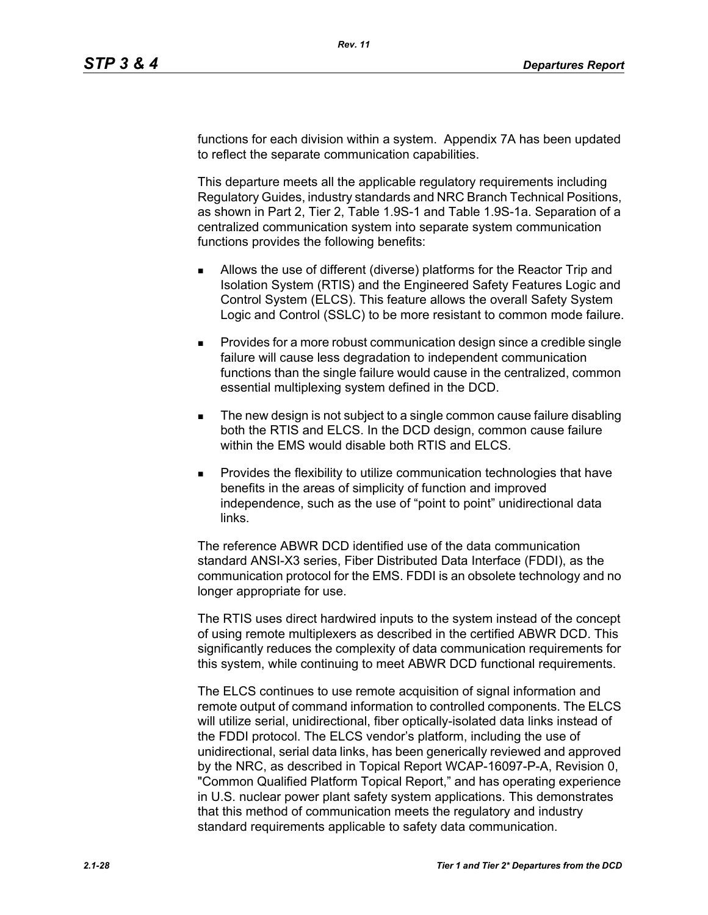functions for each division within a system. Appendix 7A has been updated to reflect the separate communication capabilities.

This departure meets all the applicable regulatory requirements including Regulatory Guides, industry standards and NRC Branch Technical Positions, as shown in Part 2, Tier 2, Table 1.9S-1 and Table 1.9S-1a. Separation of a centralized communication system into separate system communication functions provides the following benefits:

- Allows the use of different (diverse) platforms for the Reactor Trip and Isolation System (RTIS) and the Engineered Safety Features Logic and Control System (ELCS). This feature allows the overall Safety System Logic and Control (SSLC) to be more resistant to common mode failure.
- **Provides for a more robust communication design since a credible single** failure will cause less degradation to independent communication functions than the single failure would cause in the centralized, common essential multiplexing system defined in the DCD.
- The new design is not subject to a single common cause failure disabling both the RTIS and ELCS. In the DCD design, common cause failure within the EMS would disable both RTIS and ELCS.
- Provides the flexibility to utilize communication technologies that have benefits in the areas of simplicity of function and improved independence, such as the use of "point to point" unidirectional data links.

The reference ABWR DCD identified use of the data communication standard ANSI-X3 series, Fiber Distributed Data Interface (FDDI), as the communication protocol for the EMS. FDDI is an obsolete technology and no longer appropriate for use.

The RTIS uses direct hardwired inputs to the system instead of the concept of using remote multiplexers as described in the certified ABWR DCD. This significantly reduces the complexity of data communication requirements for this system, while continuing to meet ABWR DCD functional requirements.

The ELCS continues to use remote acquisition of signal information and remote output of command information to controlled components. The ELCS will utilize serial, unidirectional, fiber optically-isolated data links instead of the FDDI protocol. The ELCS vendor's platform, including the use of unidirectional, serial data links, has been generically reviewed and approved by the NRC, as described in Topical Report WCAP-16097-P-A, Revision 0, "Common Qualified Platform Topical Report," and has operating experience in U.S. nuclear power plant safety system applications. This demonstrates that this method of communication meets the regulatory and industry standard requirements applicable to safety data communication.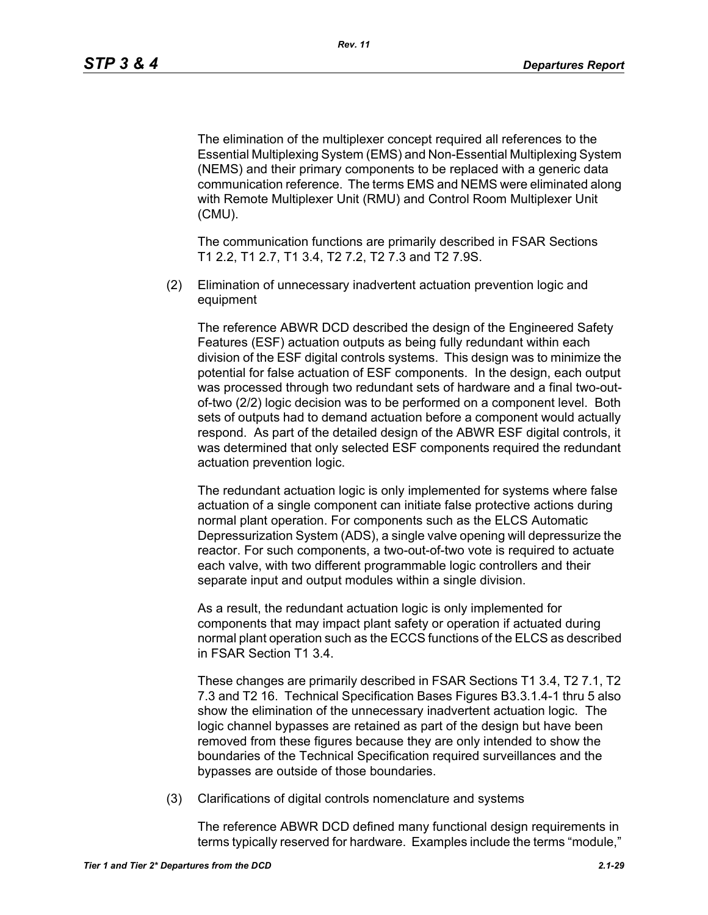The elimination of the multiplexer concept required all references to the Essential Multiplexing System (EMS) and Non-Essential Multiplexing System (NEMS) and their primary components to be replaced with a generic data communication reference. The terms EMS and NEMS were eliminated along with Remote Multiplexer Unit (RMU) and Control Room Multiplexer Unit (CMU).

The communication functions are primarily described in FSAR Sections T1 2.2, T1 2.7, T1 3.4, T2 7.2, T2 7.3 and T2 7.9S.

(2) Elimination of unnecessary inadvertent actuation prevention logic and equipment

The reference ABWR DCD described the design of the Engineered Safety Features (ESF) actuation outputs as being fully redundant within each division of the ESF digital controls systems. This design was to minimize the potential for false actuation of ESF components. In the design, each output was processed through two redundant sets of hardware and a final two-outof-two (2/2) logic decision was to be performed on a component level. Both sets of outputs had to demand actuation before a component would actually respond. As part of the detailed design of the ABWR ESF digital controls, it was determined that only selected ESF components required the redundant actuation prevention logic.

The redundant actuation logic is only implemented for systems where false actuation of a single component can initiate false protective actions during normal plant operation. For components such as the ELCS Automatic Depressurization System (ADS), a single valve opening will depressurize the reactor. For such components, a two-out-of-two vote is required to actuate each valve, with two different programmable logic controllers and their separate input and output modules within a single division.

As a result, the redundant actuation logic is only implemented for components that may impact plant safety or operation if actuated during normal plant operation such as the ECCS functions of the ELCS as described in FSAR Section T1 3.4.

These changes are primarily described in FSAR Sections T1 3.4, T2 7.1, T2 7.3 and T2 16. Technical Specification Bases Figures B3.3.1.4-1 thru 5 also show the elimination of the unnecessary inadvertent actuation logic. The logic channel bypasses are retained as part of the design but have been removed from these figures because they are only intended to show the boundaries of the Technical Specification required surveillances and the bypasses are outside of those boundaries.

(3) Clarifications of digital controls nomenclature and systems

The reference ABWR DCD defined many functional design requirements in terms typically reserved for hardware. Examples include the terms "module,"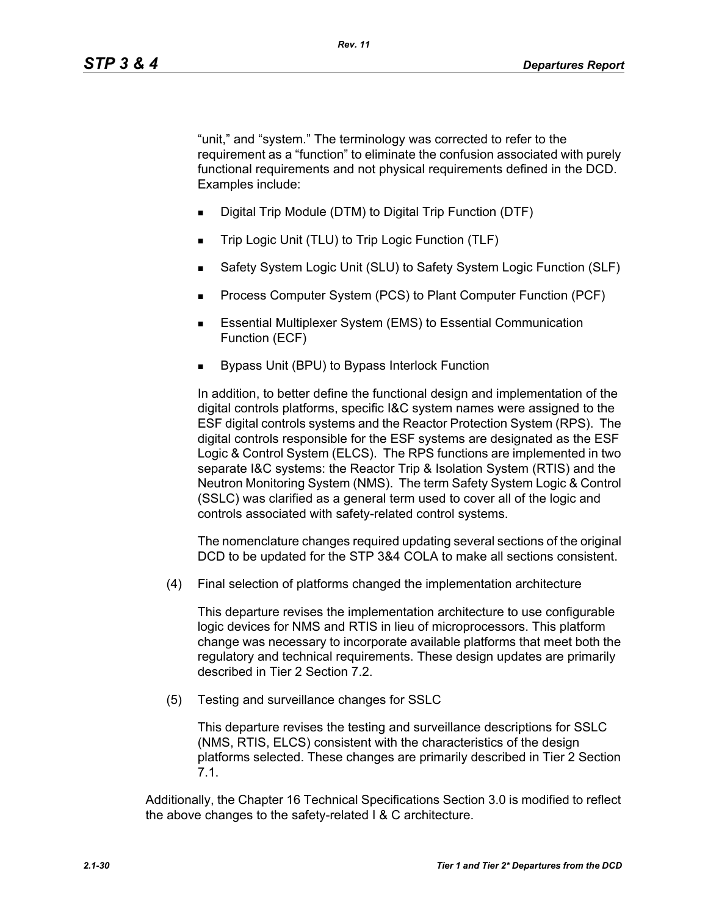"unit," and "system." The terminology was corrected to refer to the requirement as a "function" to eliminate the confusion associated with purely functional requirements and not physical requirements defined in the DCD. Examples include:

- Digital Trip Module (DTM) to Digital Trip Function (DTF)
- Trip Logic Unit (TLU) to Trip Logic Function (TLF)
- Safety System Logic Unit (SLU) to Safety System Logic Function (SLF)
- Process Computer System (PCS) to Plant Computer Function (PCF)
- **Essential Multiplexer System (EMS) to Essential Communication** Function (ECF)
- Bypass Unit (BPU) to Bypass Interlock Function

In addition, to better define the functional design and implementation of the digital controls platforms, specific I&C system names were assigned to the ESF digital controls systems and the Reactor Protection System (RPS). The digital controls responsible for the ESF systems are designated as the ESF Logic & Control System (ELCS). The RPS functions are implemented in two separate I&C systems: the Reactor Trip & Isolation System (RTIS) and the Neutron Monitoring System (NMS). The term Safety System Logic & Control (SSLC) was clarified as a general term used to cover all of the logic and controls associated with safety-related control systems.

The nomenclature changes required updating several sections of the original DCD to be updated for the STP 3&4 COLA to make all sections consistent.

(4) Final selection of platforms changed the implementation architecture

This departure revises the implementation architecture to use configurable logic devices for NMS and RTIS in lieu of microprocessors. This platform change was necessary to incorporate available platforms that meet both the regulatory and technical requirements. These design updates are primarily described in Tier 2 Section 7.2.

(5) Testing and surveillance changes for SSLC

This departure revises the testing and surveillance descriptions for SSLC (NMS, RTIS, ELCS) consistent with the characteristics of the design platforms selected. These changes are primarily described in Tier 2 Section 7.1.

Additionally, the Chapter 16 Technical Specifications Section 3.0 is modified to reflect the above changes to the safety-related I & C architecture.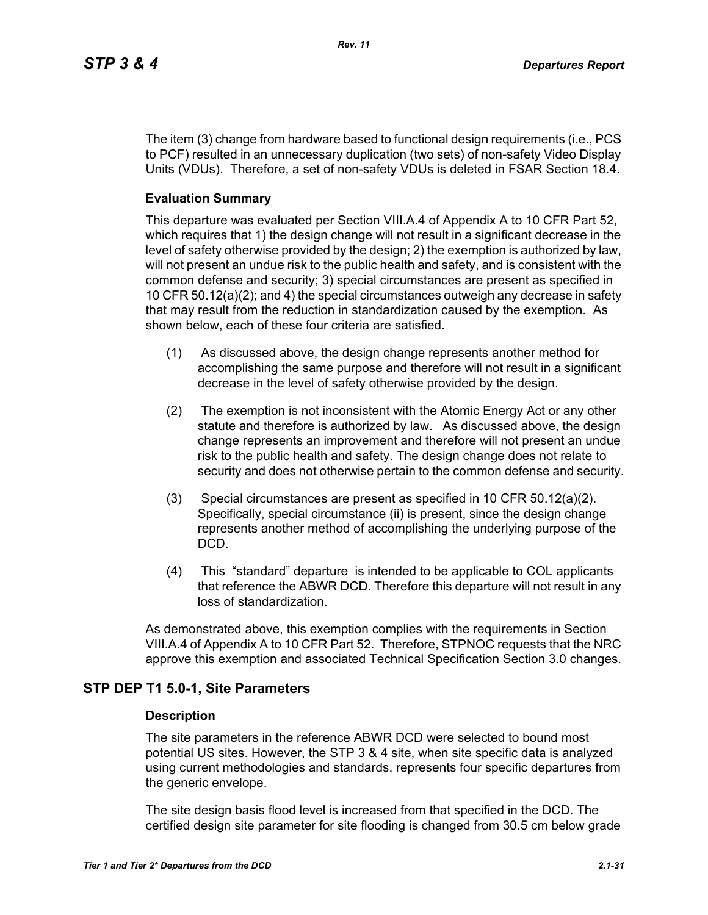The item (3) change from hardware based to functional design requirements (i.e., PCS to PCF) resulted in an unnecessary duplication (two sets) of non-safety Video Display Units (VDUs). Therefore, a set of non-safety VDUs is deleted in FSAR Section 18.4.

## **Evaluation Summary**

This departure was evaluated per Section VIII.A.4 of Appendix A to 10 CFR Part 52, which requires that 1) the design change will not result in a significant decrease in the level of safety otherwise provided by the design; 2) the exemption is authorized by law, will not present an undue risk to the public health and safety, and is consistent with the common defense and security; 3) special circumstances are present as specified in 10 CFR 50.12(a)(2); and 4) the special circumstances outweigh any decrease in safety that may result from the reduction in standardization caused by the exemption. As shown below, each of these four criteria are satisfied.

- (1) As discussed above, the design change represents another method for accomplishing the same purpose and therefore will not result in a significant decrease in the level of safety otherwise provided by the design.
- (2) The exemption is not inconsistent with the Atomic Energy Act or any other statute and therefore is authorized by law. As discussed above, the design change represents an improvement and therefore will not present an undue risk to the public health and safety. The design change does not relate to security and does not otherwise pertain to the common defense and security.
- (3) Special circumstances are present as specified in 10 CFR 50.12(a)(2). Specifically, special circumstance (ii) is present, since the design change represents another method of accomplishing the underlying purpose of the DCD.
- (4) This "standard" departure is intended to be applicable to COL applicants that reference the ABWR DCD. Therefore this departure will not result in any loss of standardization.

As demonstrated above, this exemption complies with the requirements in Section VIII.A.4 of Appendix A to 10 CFR Part 52. Therefore, STPNOC requests that the NRC approve this exemption and associated Technical Specification Section 3.0 changes.

# **STP DEP T1 5.0-1, Site Parameters**

#### **Description**

The site parameters in the reference ABWR DCD were selected to bound most potential US sites. However, the STP 3 & 4 site, when site specific data is analyzed using current methodologies and standards, represents four specific departures from the generic envelope.

The site design basis flood level is increased from that specified in the DCD. The certified design site parameter for site flooding is changed from 30.5 cm below grade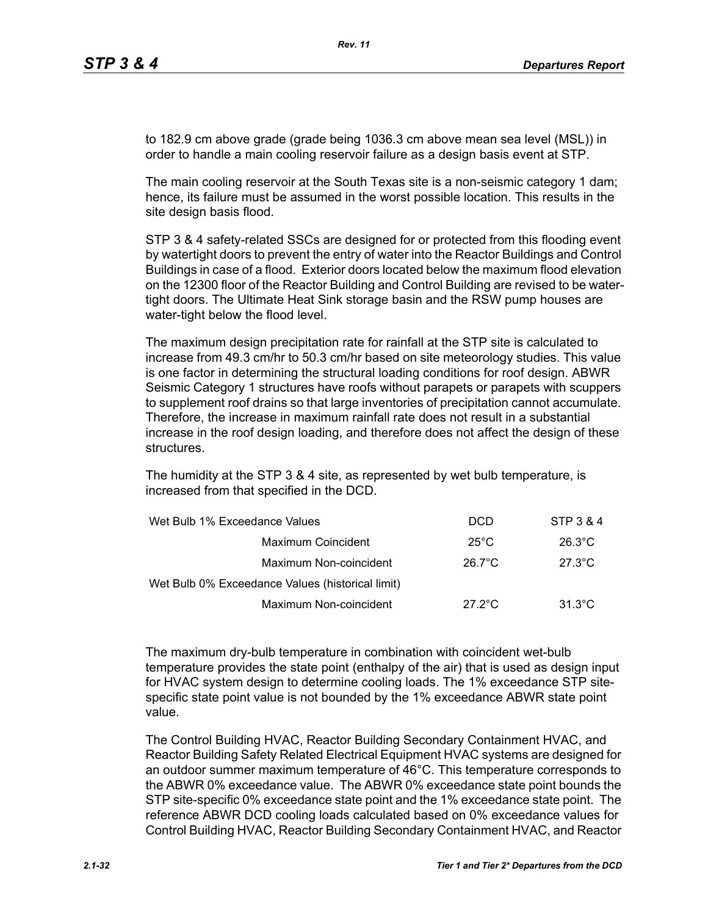to 182.9 cm above grade (grade being 1036.3 cm above mean sea level (MSL)) in order to handle a main cooling reservoir failure as a design basis event at STP.

The main cooling reservoir at the South Texas site is a non-seismic category 1 dam; hence, its failure must be assumed in the worst possible location. This results in the site design basis flood.

STP 3 & 4 safety-related SSCs are designed for or protected from this flooding event by watertight doors to prevent the entry of water into the Reactor Buildings and Control Buildings in case of a flood. Exterior doors located below the maximum flood elevation on the 12300 floor of the Reactor Building and Control Building are revised to be watertight doors. The Ultimate Heat Sink storage basin and the RSW pump houses are water-tight below the flood level.

The maximum design precipitation rate for rainfall at the STP site is calculated to increase from 49.3 cm/hr to 50.3 cm/hr based on site meteorology studies. This value is one factor in determining the structural loading conditions for roof design. ABWR Seismic Category 1 structures have roofs without parapets or parapets with scuppers to supplement roof drains so that large inventories of precipitation cannot accumulate. Therefore, the increase in maximum rainfall rate does not result in a substantial increase in the roof design loading, and therefore does not affect the design of these structures.

The humidity at the STP 3 & 4 site, as represented by wet bulb temperature, is increased from that specified in the DCD.

| Wet Bulb 1% Exceedance Values                    | <b>DCD</b>       | STP 3 & 4        |
|--------------------------------------------------|------------------|------------------|
| Maximum Coincident                               | $25^{\circ}$ C   | $26.3^{\circ}$ C |
| Maximum Non-coincident                           | $26.7^{\circ}$ C | $27.3^{\circ}$ C |
| Wet Bulb 0% Exceedance Values (historical limit) |                  |                  |
| Maximum Non-coincident                           | $27.2^{\circ}$ C | $31.3^{\circ}$ C |

The maximum dry-bulb temperature in combination with coincident wet-bulb temperature provides the state point (enthalpy of the air) that is used as design input for HVAC system design to determine cooling loads. The 1% exceedance STP sitespecific state point value is not bounded by the 1% exceedance ABWR state point value.

The Control Building HVAC, Reactor Building Secondary Containment HVAC, and Reactor Building Safety Related Electrical Equipment HVAC systems are designed for an outdoor summer maximum temperature of 46°C. This temperature corresponds to the ABWR 0% exceedance value. The ABWR 0% exceedance state point bounds the STP site-specific 0% exceedance state point and the 1% exceedance state point. The reference ABWR DCD cooling loads calculated based on 0% exceedance values for Control Building HVAC, Reactor Building Secondary Containment HVAC, and Reactor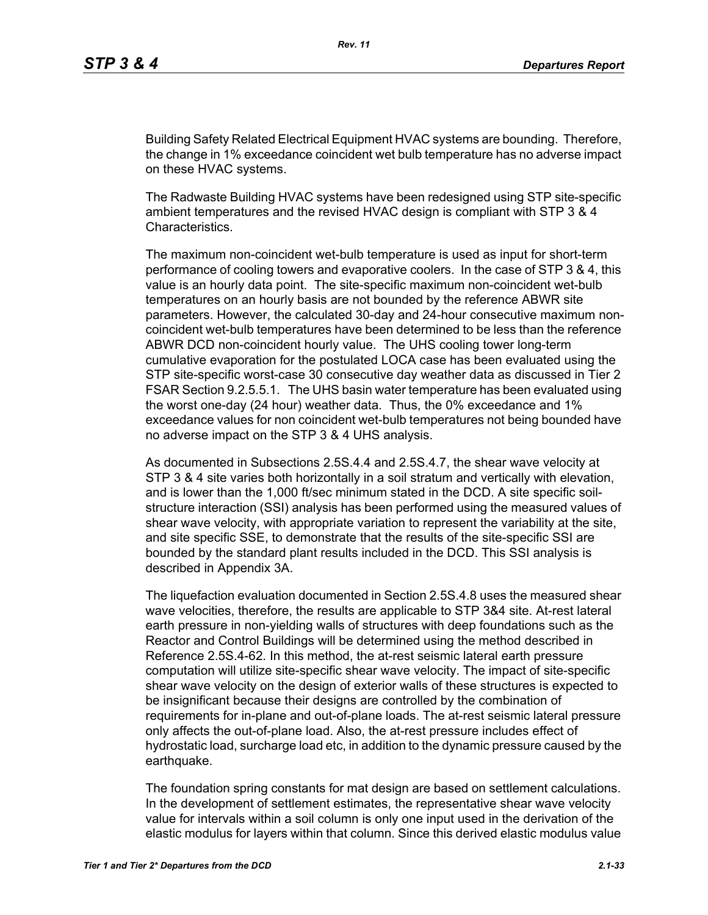Building Safety Related Electrical Equipment HVAC systems are bounding. Therefore, the change in 1% exceedance coincident wet bulb temperature has no adverse impact on these HVAC systems.

The Radwaste Building HVAC systems have been redesigned using STP site-specific ambient temperatures and the revised HVAC design is compliant with STP 3 & 4 Characteristics.

The maximum non-coincident wet-bulb temperature is used as input for short-term performance of cooling towers and evaporative coolers. In the case of STP 3 & 4, this value is an hourly data point. The site-specific maximum non-coincident wet-bulb temperatures on an hourly basis are not bounded by the reference ABWR site parameters. However, the calculated 30-day and 24-hour consecutive maximum noncoincident wet-bulb temperatures have been determined to be less than the reference ABWR DCD non-coincident hourly value. The UHS cooling tower long-term cumulative evaporation for the postulated LOCA case has been evaluated using the STP site-specific worst-case 30 consecutive day weather data as discussed in Tier 2 FSAR Section 9.2.5.5.1. The UHS basin water temperature has been evaluated using the worst one-day (24 hour) weather data. Thus, the 0% exceedance and 1% exceedance values for non coincident wet-bulb temperatures not being bounded have no adverse impact on the STP 3 & 4 UHS analysis.

As documented in Subsections 2.5S.4.4 and 2.5S.4.7, the shear wave velocity at STP 3 & 4 site varies both horizontally in a soil stratum and vertically with elevation, and is lower than the 1,000 ft/sec minimum stated in the DCD. A site specific soilstructure interaction (SSI) analysis has been performed using the measured values of shear wave velocity, with appropriate variation to represent the variability at the site, and site specific SSE, to demonstrate that the results of the site-specific SSI are bounded by the standard plant results included in the DCD. This SSI analysis is described in Appendix 3A.

The liquefaction evaluation documented in Section 2.5S.4.8 uses the measured shear wave velocities, therefore, the results are applicable to STP 3&4 site. At-rest lateral earth pressure in non-yielding walls of structures with deep foundations such as the Reactor and Control Buildings will be determined using the method described in Reference 2.5S.4-62. In this method, the at-rest seismic lateral earth pressure computation will utilize site-specific shear wave velocity. The impact of site-specific shear wave velocity on the design of exterior walls of these structures is expected to be insignificant because their designs are controlled by the combination of requirements for in-plane and out-of-plane loads. The at-rest seismic lateral pressure only affects the out-of-plane load. Also, the at-rest pressure includes effect of hydrostatic load, surcharge load etc, in addition to the dynamic pressure caused by the earthquake.

The foundation spring constants for mat design are based on settlement calculations. In the development of settlement estimates, the representative shear wave velocity value for intervals within a soil column is only one input used in the derivation of the elastic modulus for layers within that column. Since this derived elastic modulus value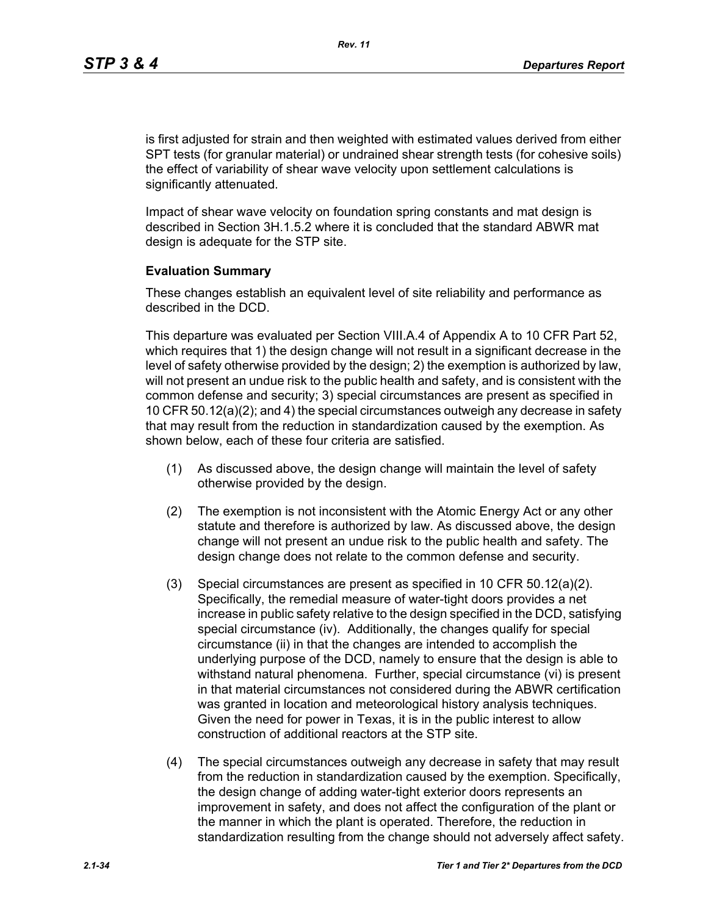is first adjusted for strain and then weighted with estimated values derived from either SPT tests (for granular material) or undrained shear strength tests (for cohesive soils) the effect of variability of shear wave velocity upon settlement calculations is significantly attenuated.

Impact of shear wave velocity on foundation spring constants and mat design is described in Section 3H.1.5.2 where it is concluded that the standard ABWR mat design is adequate for the STP site.

#### **Evaluation Summary**

These changes establish an equivalent level of site reliability and performance as described in the DCD.

This departure was evaluated per Section VIII.A.4 of Appendix A to 10 CFR Part 52, which requires that 1) the design change will not result in a significant decrease in the level of safety otherwise provided by the design; 2) the exemption is authorized by law, will not present an undue risk to the public health and safety, and is consistent with the common defense and security; 3) special circumstances are present as specified in 10 CFR 50.12(a)(2); and 4) the special circumstances outweigh any decrease in safety that may result from the reduction in standardization caused by the exemption. As shown below, each of these four criteria are satisfied.

- (1) As discussed above, the design change will maintain the level of safety otherwise provided by the design.
- (2) The exemption is not inconsistent with the Atomic Energy Act or any other statute and therefore is authorized by law. As discussed above, the design change will not present an undue risk to the public health and safety. The design change does not relate to the common defense and security.
- (3) Special circumstances are present as specified in 10 CFR 50.12(a)(2). Specifically, the remedial measure of water-tight doors provides a net increase in public safety relative to the design specified in the DCD, satisfying special circumstance (iv). Additionally, the changes qualify for special circumstance (ii) in that the changes are intended to accomplish the underlying purpose of the DCD, namely to ensure that the design is able to withstand natural phenomena. Further, special circumstance (vi) is present in that material circumstances not considered during the ABWR certification was granted in location and meteorological history analysis techniques. Given the need for power in Texas, it is in the public interest to allow construction of additional reactors at the STP site.
- (4) The special circumstances outweigh any decrease in safety that may result from the reduction in standardization caused by the exemption. Specifically, the design change of adding water-tight exterior doors represents an improvement in safety, and does not affect the configuration of the plant or the manner in which the plant is operated. Therefore, the reduction in standardization resulting from the change should not adversely affect safety.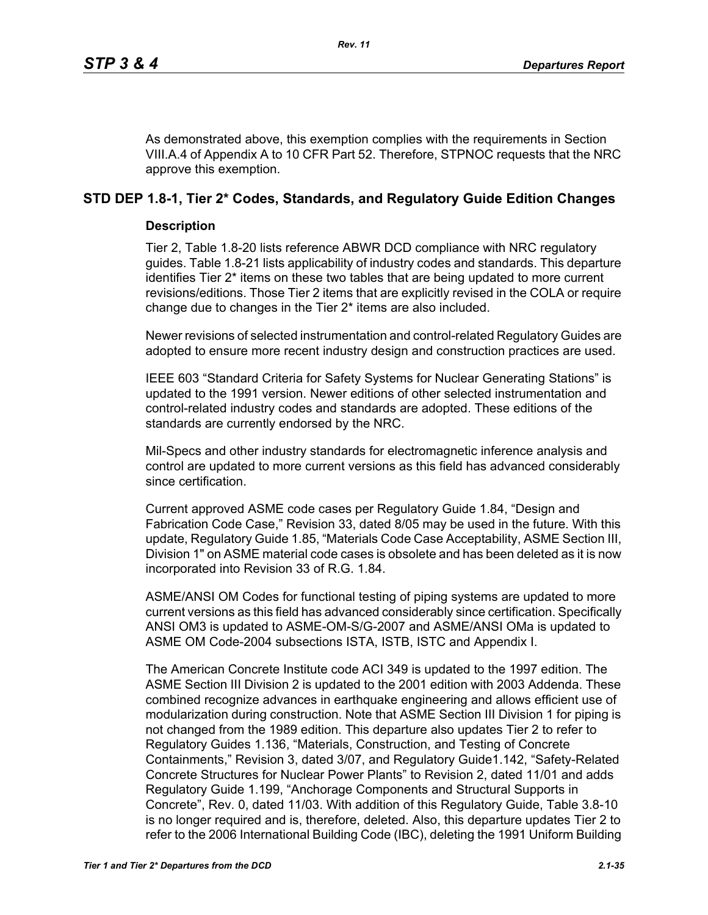As demonstrated above, this exemption complies with the requirements in Section VIII.A.4 of Appendix A to 10 CFR Part 52. Therefore, STPNOC requests that the NRC approve this exemption.

# **STD DEP 1.8-1, Tier 2\* Codes, Standards, and Regulatory Guide Edition Changes**

## **Description**

Tier 2, Table 1.8-20 lists reference ABWR DCD compliance with NRC regulatory guides. Table 1.8-21 lists applicability of industry codes and standards. This departure identifies Tier 2\* items on these two tables that are being updated to more current revisions/editions. Those Tier 2 items that are explicitly revised in the COLA or require change due to changes in the Tier 2\* items are also included.

Newer revisions of selected instrumentation and control-related Regulatory Guides are adopted to ensure more recent industry design and construction practices are used.

IEEE 603 "Standard Criteria for Safety Systems for Nuclear Generating Stations" is updated to the 1991 version. Newer editions of other selected instrumentation and control-related industry codes and standards are adopted. These editions of the standards are currently endorsed by the NRC.

Mil-Specs and other industry standards for electromagnetic inference analysis and control are updated to more current versions as this field has advanced considerably since certification.

Current approved ASME code cases per Regulatory Guide 1.84, "Design and Fabrication Code Case," Revision 33, dated 8/05 may be used in the future. With this update, Regulatory Guide 1.85, "Materials Code Case Acceptability, ASME Section III, Division 1" on ASME material code cases is obsolete and has been deleted as it is now incorporated into Revision 33 of R.G. 1.84.

ASME/ANSI OM Codes for functional testing of piping systems are updated to more current versions as this field has advanced considerably since certification. Specifically ANSI OM3 is updated to ASME-OM-S/G-2007 and ASME/ANSI OMa is updated to ASME OM Code-2004 subsections ISTA, ISTB, ISTC and Appendix I.

The American Concrete Institute code ACI 349 is updated to the 1997 edition. The ASME Section III Division 2 is updated to the 2001 edition with 2003 Addenda. These combined recognize advances in earthquake engineering and allows efficient use of modularization during construction. Note that ASME Section III Division 1 for piping is not changed from the 1989 edition. This departure also updates Tier 2 to refer to Regulatory Guides 1.136, "Materials, Construction, and Testing of Concrete Containments," Revision 3, dated 3/07, and Regulatory Guide1.142, "Safety-Related Concrete Structures for Nuclear Power Plants" to Revision 2, dated 11/01 and adds Regulatory Guide 1.199, "Anchorage Components and Structural Supports in Concrete", Rev. 0, dated 11/03. With addition of this Regulatory Guide, Table 3.8-10 is no longer required and is, therefore, deleted. Also, this departure updates Tier 2 to refer to the 2006 International Building Code (IBC), deleting the 1991 Uniform Building